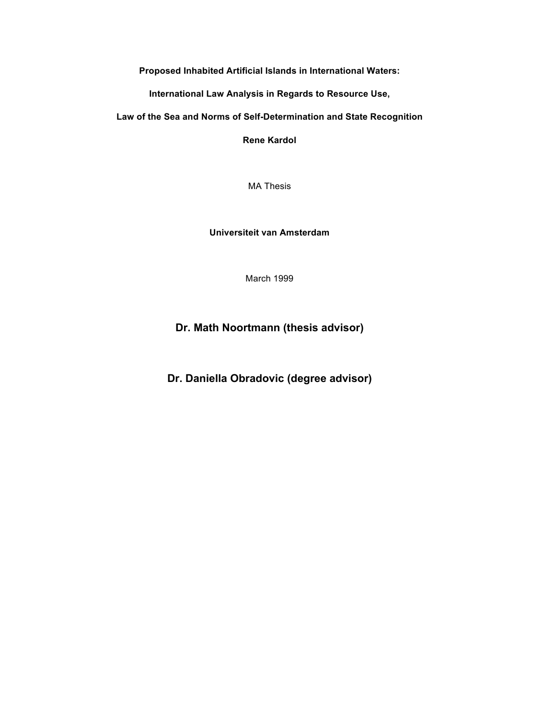**Proposed Inhabited Artificial Islands in International Waters:**

**International Law Analysis in Regards to Resource Use,** 

**Law of the Sea and Norms of Self-Determination and State Recognition**

**Rene Kardol**

MA Thesis

**Universiteit van Amsterdam**

March 1999

## **Dr. Math Noortmann (thesis advisor)**

**Dr. Daniella Obradovic (degree advisor)**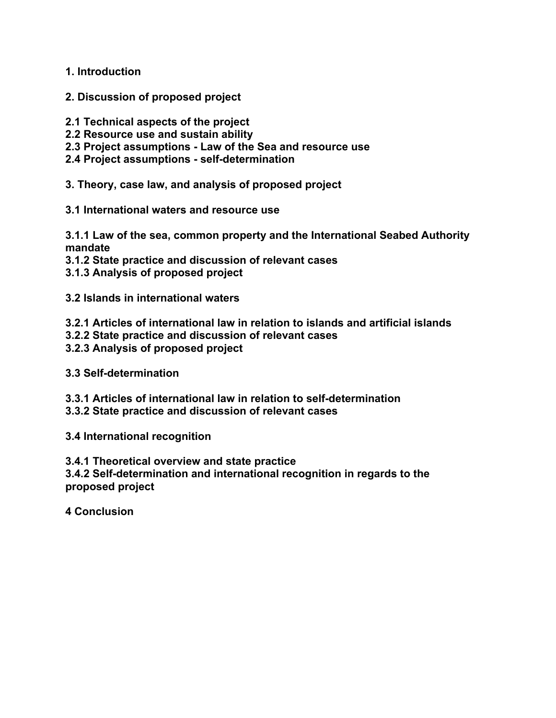**1. Introduction**

- **2. Discussion of proposed project**
- **2.1 Technical aspects of the project**
- **2.2 Resource use and sustain ability**
- **2.3 Project assumptions - Law of the Sea and resource use**
- **2.4 Project assumptions - self-determination**
- **3. Theory, case law, and analysis of proposed project**
- **3.1 International waters and resource use**

**3.1.1 Law of the sea, common property and the International Seabed Authority mandate**

- **3.1.2 State practice and discussion of relevant cases**
- **3.1.3 Analysis of proposed project**
- **3.2 Islands in international waters**
- **3.2.1 Articles of international law in relation to islands and artificial islands**
- **3.2.2 State practice and discussion of relevant cases**
- **3.2.3 Analysis of proposed project**
- **3.3 Self-determination**
- **3.3.1 Articles of international law in relation to self-determination**
- **3.3.2 State practice and discussion of relevant cases**
- **3.4 International recognition**
- **3.4.1 Theoretical overview and state practice**

**3.4.2 Self-determination and international recognition in regards to the proposed project**

**4 Conclusion**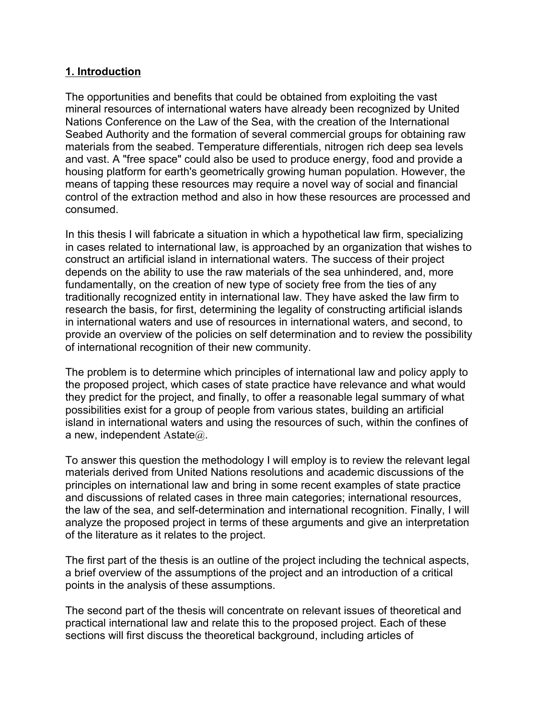## **1. Introduction**

The opportunities and benefits that could be obtained from exploiting the vast mineral resources of international waters have already been recognized by United Nations Conference on the Law of the Sea, with the creation of the International Seabed Authority and the formation of several commercial groups for obtaining raw materials from the seabed. Temperature differentials, nitrogen rich deep sea levels and vast. A "free space" could also be used to produce energy, food and provide a housing platform for earth's geometrically growing human population. However, the means of tapping these resources may require a novel way of social and financial control of the extraction method and also in how these resources are processed and consumed.

In this thesis I will fabricate a situation in which a hypothetical law firm, specializing in cases related to international law, is approached by an organization that wishes to construct an artificial island in international waters. The success of their project depends on the ability to use the raw materials of the sea unhindered, and, more fundamentally, on the creation of new type of society free from the ties of any traditionally recognized entity in international law. They have asked the law firm to research the basis, for first, determining the legality of constructing artificial islands in international waters and use of resources in international waters, and second, to provide an overview of the policies on self determination and to review the possibility of international recognition of their new community.

The problem is to determine which principles of international law and policy apply to the proposed project, which cases of state practice have relevance and what would they predict for the project, and finally, to offer a reasonable legal summary of what possibilities exist for a group of people from various states, building an artificial island in international waters and using the resources of such, within the confines of a new, independent Astate $@.$ 

To answer this question the methodology I will employ is to review the relevant legal materials derived from United Nations resolutions and academic discussions of the principles on international law and bring in some recent examples of state practice and discussions of related cases in three main categories; international resources, the law of the sea, and self-determination and international recognition. Finally, I will analyze the proposed project in terms of these arguments and give an interpretation of the literature as it relates to the project.

The first part of the thesis is an outline of the project including the technical aspects, a brief overview of the assumptions of the project and an introduction of a critical points in the analysis of these assumptions.

The second part of the thesis will concentrate on relevant issues of theoretical and practical international law and relate this to the proposed project. Each of these sections will first discuss the theoretical background, including articles of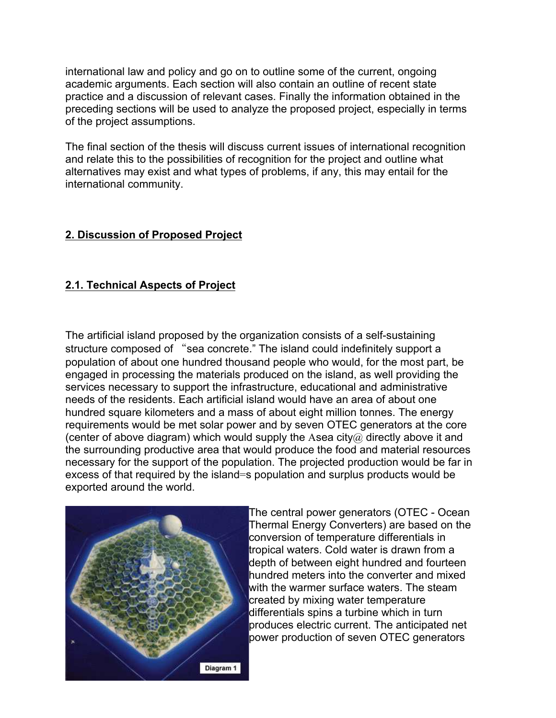international law and policy and go on to outline some of the current, ongoing academic arguments. Each section will also contain an outline of recent state practice and a discussion of relevant cases. Finally the information obtained in the preceding sections will be used to analyze the proposed project, especially in terms of the project assumptions.

The final section of the thesis will discuss current issues of international recognition and relate this to the possibilities of recognition for the project and outline what alternatives may exist and what types of problems, if any, this may entail for the international community.

## **2. Discussion of Proposed Project**

# **2.1. Technical Aspects of Project**

The artificial island proposed by the organization consists of a self-sustaining structure composed of "sea concrete." The island could indefinitely support a population of about one hundred thousand people who would, for the most part, be engaged in processing the materials produced on the island, as well providing the services necessary to support the infrastructure, educational and administrative needs of the residents. Each artificial island would have an area of about one hundred square kilometers and a mass of about eight million tonnes. The energy requirements would be met solar power and by seven OTEC generators at the core (center of above diagram) which would supply the Asea city $\omega$  directly above it and the surrounding productive area that would produce the food and material resources necessary for the support of the population. The projected production would be far in excess of that required by the island=s population and surplus products would be exported around the world.



The central power generators (OTEC - Ocean Thermal Energy Converters) are based on the conversion of temperature differentials in tropical waters. Cold water is drawn from a depth of between eight hundred and fourteen hundred meters into the converter and mixed with the warmer surface waters. The steam created by mixing water temperature differentials spins a turbine which in turn produces electric current. The anticipated net power production of seven OTEC generators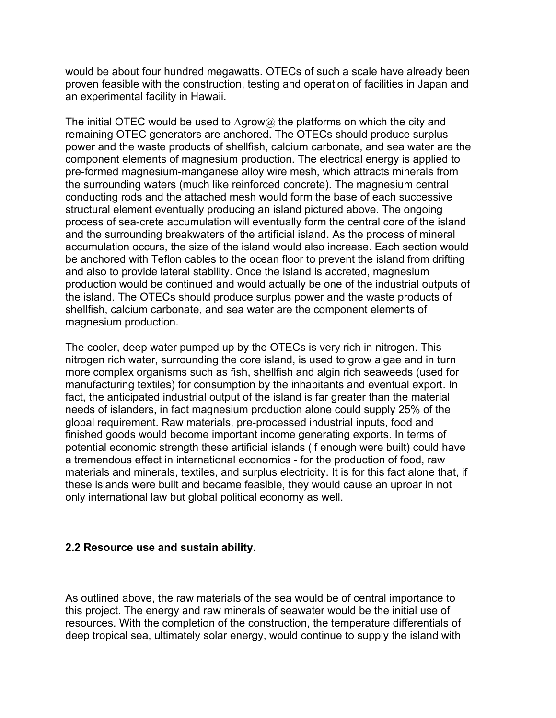would be about four hundred megawatts. OTECs of such a scale have already been proven feasible with the construction, testing and operation of facilities in Japan and an experimental facility in Hawaii.

The initial OTEC would be used to Agrow $@$  the platforms on which the city and remaining OTEC generators are anchored. The OTECs should produce surplus power and the waste products of shellfish, calcium carbonate, and sea water are the component elements of magnesium production. The electrical energy is applied to pre-formed magnesium-manganese alloy wire mesh, which attracts minerals from the surrounding waters (much like reinforced concrete). The magnesium central conducting rods and the attached mesh would form the base of each successive structural element eventually producing an island pictured above. The ongoing process of sea-crete accumulation will eventually form the central core of the island and the surrounding breakwaters of the artificial island. As the process of mineral accumulation occurs, the size of the island would also increase. Each section would be anchored with Teflon cables to the ocean floor to prevent the island from drifting and also to provide lateral stability. Once the island is accreted, magnesium production would be continued and would actually be one of the industrial outputs of the island. The OTECs should produce surplus power and the waste products of shellfish, calcium carbonate, and sea water are the component elements of magnesium production.

The cooler, deep water pumped up by the OTECs is very rich in nitrogen. This nitrogen rich water, surrounding the core island, is used to grow algae and in turn more complex organisms such as fish, shellfish and algin rich seaweeds (used for manufacturing textiles) for consumption by the inhabitants and eventual export. In fact, the anticipated industrial output of the island is far greater than the material needs of islanders, in fact magnesium production alone could supply 25% of the global requirement. Raw materials, pre-processed industrial inputs, food and finished goods would become important income generating exports. In terms of potential economic strength these artificial islands (if enough were built) could have a tremendous effect in international economics - for the production of food, raw materials and minerals, textiles, and surplus electricity. It is for this fact alone that, if these islands were built and became feasible, they would cause an uproar in not only international law but global political economy as well.

## **2.2 Resource use and sustain ability.**

As outlined above, the raw materials of the sea would be of central importance to this project. The energy and raw minerals of seawater would be the initial use of resources. With the completion of the construction, the temperature differentials of deep tropical sea, ultimately solar energy, would continue to supply the island with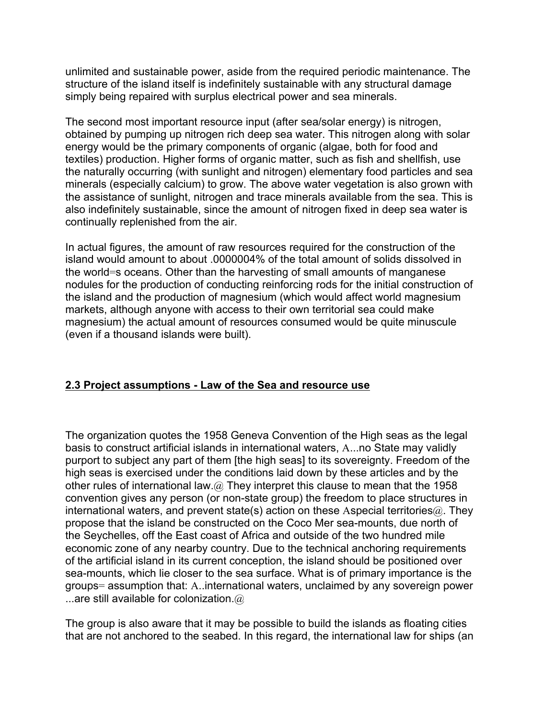unlimited and sustainable power, aside from the required periodic maintenance. The structure of the island itself is indefinitely sustainable with any structural damage simply being repaired with surplus electrical power and sea minerals.

The second most important resource input (after sea/solar energy) is nitrogen, obtained by pumping up nitrogen rich deep sea water. This nitrogen along with solar energy would be the primary components of organic (algae, both for food and textiles) production. Higher forms of organic matter, such as fish and shellfish, use the naturally occurring (with sunlight and nitrogen) elementary food particles and sea minerals (especially calcium) to grow. The above water vegetation is also grown with the assistance of sunlight, nitrogen and trace minerals available from the sea. This is also indefinitely sustainable, since the amount of nitrogen fixed in deep sea water is continually replenished from the air.

In actual figures, the amount of raw resources required for the construction of the island would amount to about .0000004% of the total amount of solids dissolved in the world=s oceans. Other than the harvesting of small amounts of manganese nodules for the production of conducting reinforcing rods for the initial construction of the island and the production of magnesium (which would affect world magnesium markets, although anyone with access to their own territorial sea could make magnesium) the actual amount of resources consumed would be quite minuscule (even if a thousand islands were built).

## **2.3 Project assumptions - Law of the Sea and resource use**

The organization quotes the 1958 Geneva Convention of the High seas as the legal basis to construct artificial islands in international waters, A...no State may validly purport to subject any part of them [the high seas] to its sovereignty. Freedom of the high seas is exercised under the conditions laid down by these articles and by the other rules of international law. $@$  They interpret this clause to mean that the 1958 convention gives any person (or non-state group) the freedom to place structures in international waters, and prevent state(s) action on these Aspecial territories $@$ . They propose that the island be constructed on the Coco Mer sea-mounts, due north of the Seychelles, off the East coast of Africa and outside of the two hundred mile economic zone of any nearby country. Due to the technical anchoring requirements of the artificial island in its current conception, the island should be positioned over sea-mounts, which lie closer to the sea surface. What is of primary importance is the groups= assumption that: A..international waters, unclaimed by any sovereign power ...are still available for colonization. $@$ 

The group is also aware that it may be possible to build the islands as floating cities that are not anchored to the seabed. In this regard, the international law for ships (an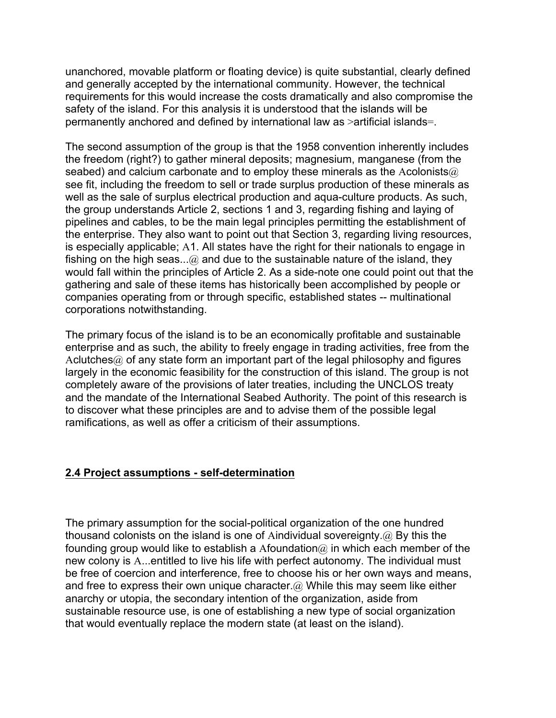unanchored, movable platform or floating device) is quite substantial, clearly defined and generally accepted by the international community. However, the technical requirements for this would increase the costs dramatically and also compromise the safety of the island. For this analysis it is understood that the islands will be permanently anchored and defined by international law as >artificial islands=.

The second assumption of the group is that the 1958 convention inherently includes the freedom (right?) to gather mineral deposits; magnesium, manganese (from the seabed) and calcium carbonate and to employ these minerals as the Acolonists $@$ see fit, including the freedom to sell or trade surplus production of these minerals as well as the sale of surplus electrical production and aqua-culture products. As such, the group understands Article 2, sections 1 and 3, regarding fishing and laying of pipelines and cables, to be the main legal principles permitting the establishment of the enterprise. They also want to point out that Section 3, regarding living resources, is especially applicable; A1. All states have the right for their nationals to engage in fishing on the high seas...@ and due to the sustainable nature of the island, they would fall within the principles of Article 2. As a side-note one could point out that the gathering and sale of these items has historically been accomplished by people or companies operating from or through specific, established states -- multinational corporations notwithstanding.

The primary focus of the island is to be an economically profitable and sustainable enterprise and as such, the ability to freely engage in trading activities, free from the Aclutches $@$  of any state form an important part of the legal philosophy and figures largely in the economic feasibility for the construction of this island. The group is not completely aware of the provisions of later treaties, including the UNCLOS treaty and the mandate of the International Seabed Authority. The point of this research is to discover what these principles are and to advise them of the possible legal ramifications, as well as offer a criticism of their assumptions.

## **2.4 Project assumptions - self-determination**

The primary assumption for the social-political organization of the one hundred thousand colonists on the island is one of Aindividual sovereignty.@ By this the founding group would like to establish a Afoundation  $\hat{a}$  in which each member of the new colony is A...entitled to live his life with perfect autonomy. The individual must be free of coercion and interference, free to choose his or her own ways and means, and free to express their own unique character. $@$  While this may seem like either anarchy or utopia, the secondary intention of the organization, aside from sustainable resource use, is one of establishing a new type of social organization that would eventually replace the modern state (at least on the island).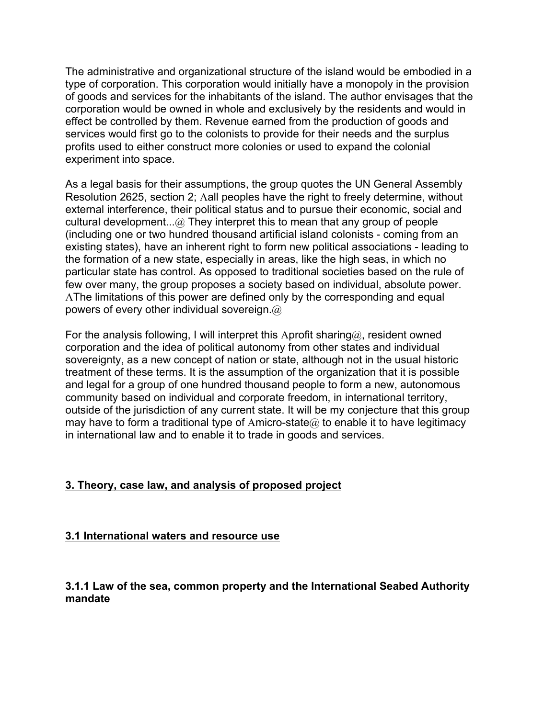The administrative and organizational structure of the island would be embodied in a type of corporation. This corporation would initially have a monopoly in the provision of goods and services for the inhabitants of the island. The author envisages that the corporation would be owned in whole and exclusively by the residents and would in effect be controlled by them. Revenue earned from the production of goods and services would first go to the colonists to provide for their needs and the surplus profits used to either construct more colonies or used to expand the colonial experiment into space.

As a legal basis for their assumptions, the group quotes the UN General Assembly Resolution 2625, section 2; Aall peoples have the right to freely determine, without external interference, their political status and to pursue their economic, social and cultural development...@ They interpret this to mean that any group of people (including one or two hundred thousand artificial island colonists - coming from an existing states), have an inherent right to form new political associations - leading to the formation of a new state, especially in areas, like the high seas, in which no particular state has control. As opposed to traditional societies based on the rule of few over many, the group proposes a society based on individual, absolute power. AThe limitations of this power are defined only by the corresponding and equal powers of every other individual sovereign.@

For the analysis following, I will interpret this Aprofit sharing $@$ , resident owned corporation and the idea of political autonomy from other states and individual sovereignty, as a new concept of nation or state, although not in the usual historic treatment of these terms. It is the assumption of the organization that it is possible and legal for a group of one hundred thousand people to form a new, autonomous community based on individual and corporate freedom, in international territory, outside of the jurisdiction of any current state. It will be my conjecture that this group may have to form a traditional type of Amicro-state  $\omega$  to enable it to have legitimacy in international law and to enable it to trade in goods and services.

## **3. Theory, case law, and analysis of proposed project**

#### **3.1 International waters and resource use**

## **3.1.1 Law of the sea, common property and the International Seabed Authority mandate**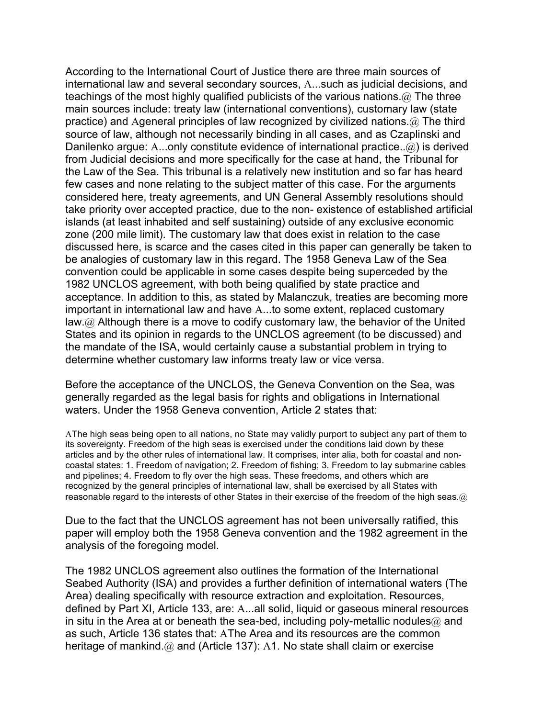According to the International Court of Justice there are three main sources of international law and several secondary sources, A...such as judicial decisions, and teachings of the most highly qualified publicists of the various nations.@ The three main sources include: treaty law (international conventions), customary law (state practice) and Ageneral principles of law recognized by civilized nations. $@$  The third source of law, although not necessarily binding in all cases, and as Czaplinski and Danilenko arque: A...only constitute evidence of international practice..@) is derived from Judicial decisions and more specifically for the case at hand, the Tribunal for the Law of the Sea. This tribunal is a relatively new institution and so far has heard few cases and none relating to the subject matter of this case. For the arguments considered here, treaty agreements, and UN General Assembly resolutions should take priority over accepted practice, due to the non- existence of established artificial islands (at least inhabited and self sustaining) outside of any exclusive economic zone (200 mile limit). The customary law that does exist in relation to the case discussed here, is scarce and the cases cited in this paper can generally be taken to be analogies of customary law in this regard. The 1958 Geneva Law of the Sea convention could be applicable in some cases despite being superceded by the 1982 UNCLOS agreement, with both being qualified by state practice and acceptance. In addition to this, as stated by Malanczuk, treaties are becoming more important in international law and have A...to some extent, replaced customary law.@ Although there is a move to codify customary law, the behavior of the United States and its opinion in regards to the UNCLOS agreement (to be discussed) and the mandate of the ISA, would certainly cause a substantial problem in trying to determine whether customary law informs treaty law or vice versa.

Before the acceptance of the UNCLOS, the Geneva Convention on the Sea, was generally regarded as the legal basis for rights and obligations in International waters. Under the 1958 Geneva convention, Article 2 states that:

AThe high seas being open to all nations, no State may validly purport to subject any part of them to its sovereignty. Freedom of the high seas is exercised under the conditions laid down by these articles and by the other rules of international law. It comprises, inter alia, both for coastal and noncoastal states: 1. Freedom of navigation; 2. Freedom of fishing; 3. Freedom to lay submarine cables and pipelines; 4. Freedom to fly over the high seas. These freedoms, and others which are recognized by the general principles of international law, shall be exercised by all States with reasonable regard to the interests of other States in their exercise of the freedom of the high seas. $\omega$ 

Due to the fact that the UNCLOS agreement has not been universally ratified, this paper will employ both the 1958 Geneva convention and the 1982 agreement in the analysis of the foregoing model.

The 1982 UNCLOS agreement also outlines the formation of the International Seabed Authority (ISA) and provides a further definition of international waters (The Area) dealing specifically with resource extraction and exploitation. Resources, defined by Part XI, Article 133, are: A...all solid, liquid or gaseous mineral resources in situ in the Area at or beneath the sea-bed, including poly-metallic nodules $@$  and as such, Article 136 states that: AThe Area and its resources are the common heritage of mankind.@ and (Article 137): A1. No state shall claim or exercise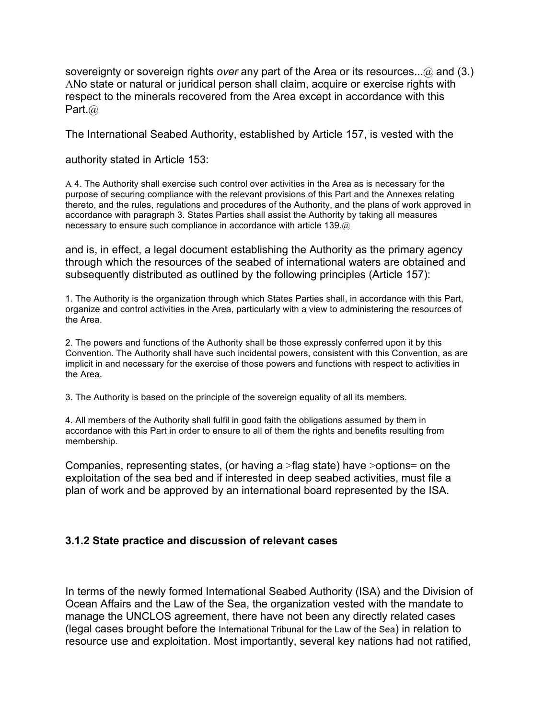sovereignty or sovereign rights *over* any part of the Area or its resources...@ and (3.) ANo state or natural or juridical person shall claim, acquire or exercise rights with respect to the minerals recovered from the Area except in accordance with this Part.@

The International Seabed Authority, established by Article 157, is vested with the

authority stated in Article 153:

A 4. The Authority shall exercise such control over activities in the Area as is necessary for the purpose of securing compliance with the relevant provisions of this Part and the Annexes relating thereto, and the rules, regulations and procedures of the Authority, and the plans of work approved in accordance with paragraph 3. States Parties shall assist the Authority by taking all measures necessary to ensure such compliance in accordance with article 139.@

and is, in effect, a legal document establishing the Authority as the primary agency through which the resources of the seabed of international waters are obtained and subsequently distributed as outlined by the following principles (Article 157):

1. The Authority is the organization through which States Parties shall, in accordance with this Part, organize and control activities in the Area, particularly with a view to administering the resources of the Area.

2. The powers and functions of the Authority shall be those expressly conferred upon it by this Convention. The Authority shall have such incidental powers, consistent with this Convention, as are implicit in and necessary for the exercise of those powers and functions with respect to activities in the Area.

3. The Authority is based on the principle of the sovereign equality of all its members.

4. All members of the Authority shall fulfil in good faith the obligations assumed by them in accordance with this Part in order to ensure to all of them the rights and benefits resulting from membership.

Companies, representing states, (or having a >flag state) have >options= on the exploitation of the sea bed and if interested in deep seabed activities, must file a plan of work and be approved by an international board represented by the ISA.

#### **3.1.2 State practice and discussion of relevant cases**

In terms of the newly formed International Seabed Authority (ISA) and the Division of Ocean Affairs and the Law of the Sea, the organization vested with the mandate to manage the UNCLOS agreement, there have not been any directly related cases (legal cases brought before the International Tribunal for the Law of the Sea) in relation to resource use and exploitation. Most importantly, several key nations had not ratified,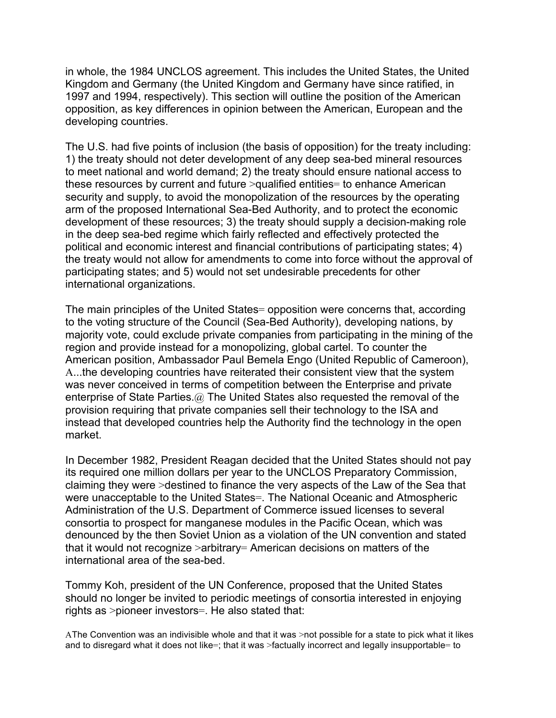in whole, the 1984 UNCLOS agreement. This includes the United States, the United Kingdom and Germany (the United Kingdom and Germany have since ratified, in 1997 and 1994, respectively). This section will outline the position of the American opposition, as key differences in opinion between the American, European and the developing countries.

The U.S. had five points of inclusion (the basis of opposition) for the treaty including: 1) the treaty should not deter development of any deep sea-bed mineral resources to meet national and world demand; 2) the treaty should ensure national access to these resources by current and future >qualified entities= to enhance American security and supply, to avoid the monopolization of the resources by the operating arm of the proposed International Sea-Bed Authority, and to protect the economic development of these resources; 3) the treaty should supply a decision-making role in the deep sea-bed regime which fairly reflected and effectively protected the political and economic interest and financial contributions of participating states; 4) the treaty would not allow for amendments to come into force without the approval of participating states; and 5) would not set undesirable precedents for other international organizations.

The main principles of the United States= opposition were concerns that, according to the voting structure of the Council (Sea-Bed Authority), developing nations, by majority vote, could exclude private companies from participating in the mining of the region and provide instead for a monopolizing, global cartel. To counter the American position, Ambassador Paul Bemela Engo (United Republic of Cameroon), A...the developing countries have reiterated their consistent view that the system was never conceived in terms of competition between the Enterprise and private enterprise of State Parties.@ The United States also requested the removal of the provision requiring that private companies sell their technology to the ISA and instead that developed countries help the Authority find the technology in the open market.

In December 1982, President Reagan decided that the United States should not pay its required one million dollars per year to the UNCLOS Preparatory Commission, claiming they were >destined to finance the very aspects of the Law of the Sea that were unacceptable to the United States=. The National Oceanic and Atmospheric Administration of the U.S. Department of Commerce issued licenses to several consortia to prospect for manganese modules in the Pacific Ocean, which was denounced by the then Soviet Union as a violation of the UN convention and stated that it would not recognize >arbitrary= American decisions on matters of the international area of the sea-bed.

Tommy Koh, president of the UN Conference, proposed that the United States should no longer be invited to periodic meetings of consortia interested in enjoying rights as >pioneer investors=. He also stated that:

AThe Convention was an indivisible whole and that it was >not possible for a state to pick what it likes and to disregard what it does not like=; that it was >factually incorrect and legally insupportable= to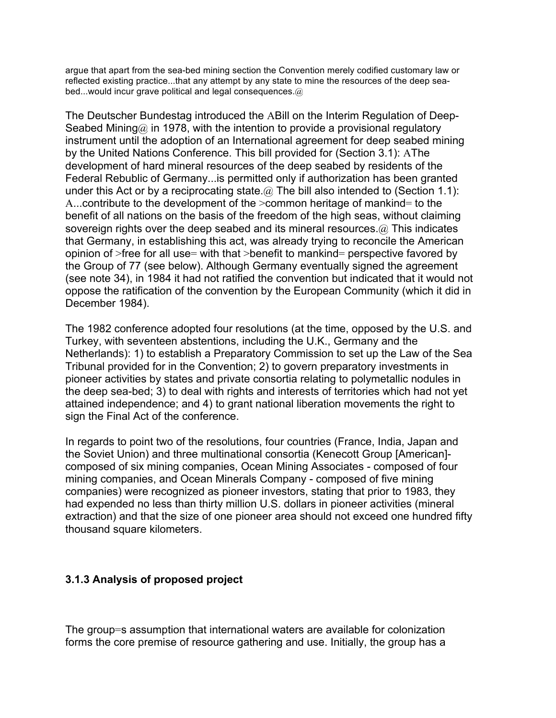argue that apart from the sea-bed mining section the Convention merely codified customary law or reflected existing practice...that any attempt by any state to mine the resources of the deep seabed...would incur grave political and legal consequences.@

The Deutscher Bundestag introduced the ABill on the Interim Regulation of Deep-Seabed Mining $@$  in 1978, with the intention to provide a provisional regulatory instrument until the adoption of an International agreement for deep seabed mining by the United Nations Conference. This bill provided for (Section 3.1): AThe development of hard mineral resources of the deep seabed by residents of the Federal Rebublic of Germany...is permitted only if authorization has been granted under this Act or by a reciprocating state.  $\omega$  The bill also intended to (Section 1.1): A...contribute to the development of the >common heritage of mankind= to the benefit of all nations on the basis of the freedom of the high seas, without claiming sovereign rights over the deep seabed and its mineral resources. @ This indicates that Germany, in establishing this act, was already trying to reconcile the American opinion of >free for all use= with that >benefit to mankind= perspective favored by the Group of 77 (see below). Although Germany eventually signed the agreement (see note 34), in 1984 it had not ratified the convention but indicated that it would not oppose the ratification of the convention by the European Community (which it did in December 1984).

The 1982 conference adopted four resolutions (at the time, opposed by the U.S. and Turkey, with seventeen abstentions, including the U.K., Germany and the Netherlands): 1) to establish a Preparatory Commission to set up the Law of the Sea Tribunal provided for in the Convention; 2) to govern preparatory investments in pioneer activities by states and private consortia relating to polymetallic nodules in the deep sea-bed; 3) to deal with rights and interests of territories which had not yet attained independence; and 4) to grant national liberation movements the right to sign the Final Act of the conference.

In regards to point two of the resolutions, four countries (France, India, Japan and the Soviet Union) and three multinational consortia (Kenecott Group [American] composed of six mining companies, Ocean Mining Associates - composed of four mining companies, and Ocean Minerals Company - composed of five mining companies) were recognized as pioneer investors, stating that prior to 1983, they had expended no less than thirty million U.S. dollars in pioneer activities (mineral extraction) and that the size of one pioneer area should not exceed one hundred fifty thousand square kilometers.

## **3.1.3 Analysis of proposed project**

The group=s assumption that international waters are available for colonization forms the core premise of resource gathering and use. Initially, the group has a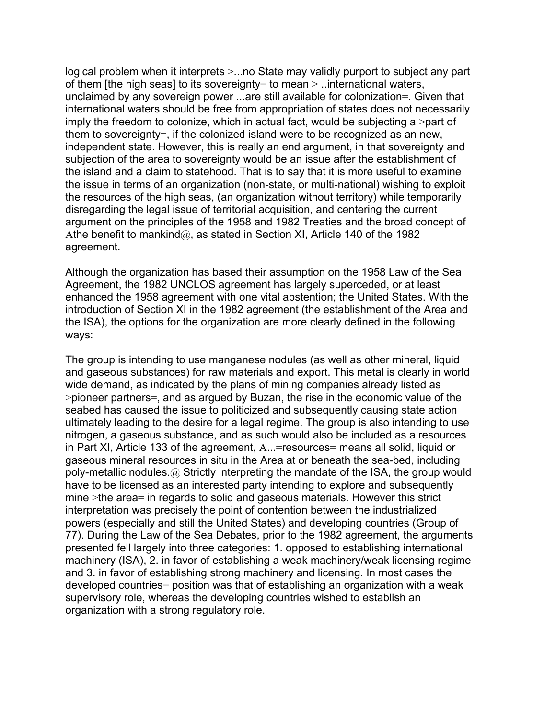logical problem when it interprets  $\geq$ ...no State may validly purport to subject any part of them [the high seas] to its sovereignty= to mean > ..international waters, unclaimed by any sovereign power ...are still available for colonization=. Given that international waters should be free from appropriation of states does not necessarily imply the freedom to colonize, which in actual fact, would be subjecting a >part of them to sovereignty=, if the colonized island were to be recognized as an new, independent state. However, this is really an end argument, in that sovereignty and subjection of the area to sovereignty would be an issue after the establishment of the island and a claim to statehood. That is to say that it is more useful to examine the issue in terms of an organization (non-state, or multi-national) wishing to exploit the resources of the high seas, (an organization without territory) while temporarily disregarding the legal issue of territorial acquisition, and centering the current argument on the principles of the 1958 and 1982 Treaties and the broad concept of Athe benefit to mankind $@$ , as stated in Section XI, Article 140 of the 1982 agreement.

Although the organization has based their assumption on the 1958 Law of the Sea Agreement, the 1982 UNCLOS agreement has largely superceded, or at least enhanced the 1958 agreement with one vital abstention; the United States. With the introduction of Section XI in the 1982 agreement (the establishment of the Area and the ISA), the options for the organization are more clearly defined in the following ways:

The group is intending to use manganese nodules (as well as other mineral, liquid and gaseous substances) for raw materials and export. This metal is clearly in world wide demand, as indicated by the plans of mining companies already listed as >pioneer partners=, and as argued by Buzan, the rise in the economic value of the seabed has caused the issue to politicized and subsequently causing state action ultimately leading to the desire for a legal regime. The group is also intending to use nitrogen, a gaseous substance, and as such would also be included as a resources in Part XI, Article 133 of the agreement, A...=resources= means all solid, liquid or gaseous mineral resources in situ in the Area at or beneath the sea-bed, including poly-metallic nodules.@ Strictly interpreting the mandate of the ISA, the group would have to be licensed as an interested party intending to explore and subsequently mine >the area= in regards to solid and gaseous materials. However this strict interpretation was precisely the point of contention between the industrialized powers (especially and still the United States) and developing countries (Group of 77). During the Law of the Sea Debates, prior to the 1982 agreement, the arguments presented fell largely into three categories: 1. opposed to establishing international machinery (ISA), 2. in favor of establishing a weak machinery/weak licensing regime and 3. in favor of establishing strong machinery and licensing. In most cases the developed countries= position was that of establishing an organization with a weak supervisory role, whereas the developing countries wished to establish an organization with a strong regulatory role.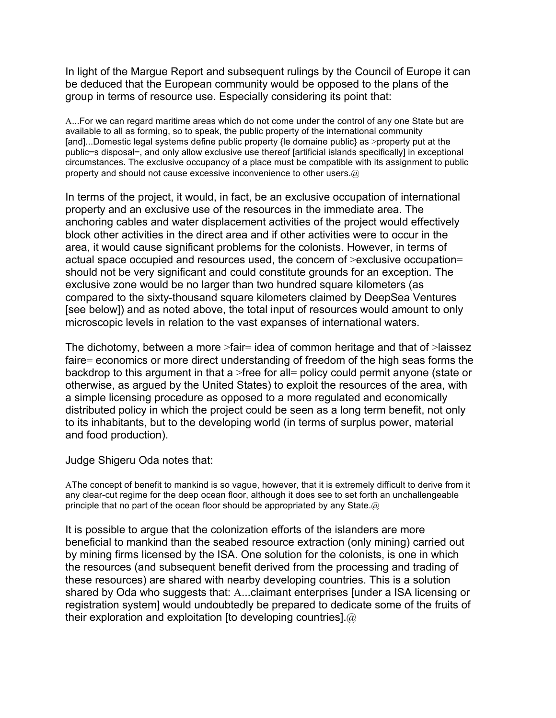In light of the Margue Report and subsequent rulings by the Council of Europe it can be deduced that the European community would be opposed to the plans of the group in terms of resource use. Especially considering its point that:

A...For we can regard maritime areas which do not come under the control of any one State but are available to all as forming, so to speak, the public property of the international community [and]...Domestic legal systems define public property {le domaine public} as >property put at the public=s disposal=, and only allow exclusive use thereof [artificial islands specifically] in exceptional circumstances. The exclusive occupancy of a place must be compatible with its assignment to public property and should not cause excessive inconvenience to other users.@

In terms of the project, it would, in fact, be an exclusive occupation of international property and an exclusive use of the resources in the immediate area. The anchoring cables and water displacement activities of the project would effectively block other activities in the direct area and if other activities were to occur in the area, it would cause significant problems for the colonists. However, in terms of actual space occupied and resources used, the concern of >exclusive occupation= should not be very significant and could constitute grounds for an exception. The exclusive zone would be no larger than two hundred square kilometers (as compared to the sixty-thousand square kilometers claimed by DeepSea Ventures [see below]) and as noted above, the total input of resources would amount to only microscopic levels in relation to the vast expanses of international waters.

The dichotomy, between a more >fair= idea of common heritage and that of >laissez faire= economics or more direct understanding of freedom of the high seas forms the backdrop to this argument in that a >free for all= policy could permit anyone (state or otherwise, as argued by the United States) to exploit the resources of the area, with a simple licensing procedure as opposed to a more regulated and economically distributed policy in which the project could be seen as a long term benefit, not only to its inhabitants, but to the developing world (in terms of surplus power, material and food production).

Judge Shigeru Oda notes that:

AThe concept of benefit to mankind is so vague, however, that it is extremely difficult to derive from it any clear-cut regime for the deep ocean floor, although it does see to set forth an unchallengeable principle that no part of the ocean floor should be appropriated by any State. $\omega$ 

It is possible to argue that the colonization efforts of the islanders are more beneficial to mankind than the seabed resource extraction (only mining) carried out by mining firms licensed by the ISA. One solution for the colonists, is one in which the resources (and subsequent benefit derived from the processing and trading of these resources) are shared with nearby developing countries. This is a solution shared by Oda who suggests that: A...claimant enterprises [under a ISA licensing or registration system] would undoubtedly be prepared to dedicate some of the fruits of their exploration and exploitation [to developing countries]. $@$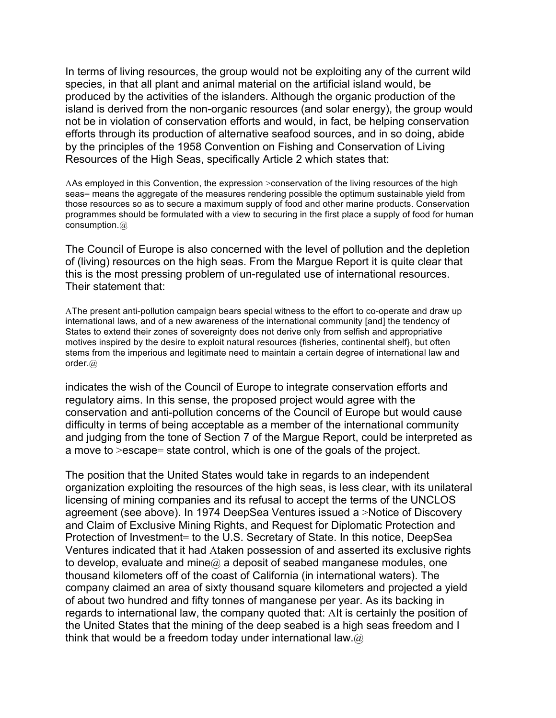In terms of living resources, the group would not be exploiting any of the current wild species, in that all plant and animal material on the artificial island would, be produced by the activities of the islanders. Although the organic production of the island is derived from the non-organic resources (and solar energy), the group would not be in violation of conservation efforts and would, in fact, be helping conservation efforts through its production of alternative seafood sources, and in so doing, abide by the principles of the 1958 Convention on Fishing and Conservation of Living Resources of the High Seas, specifically Article 2 which states that:

AAs employed in this Convention, the expression >conservation of the living resources of the high seas= means the aggregate of the measures rendering possible the optimum sustainable yield from those resources so as to secure a maximum supply of food and other marine products. Conservation programmes should be formulated with a view to securing in the first place a supply of food for human consumption.@

The Council of Europe is also concerned with the level of pollution and the depletion of (living) resources on the high seas. From the Margue Report it is quite clear that this is the most pressing problem of un-regulated use of international resources. Their statement that:

AThe present anti-pollution campaign bears special witness to the effort to co-operate and draw up international laws, and of a new awareness of the international community [and] the tendency of States to extend their zones of sovereignty does not derive only from selfish and appropriative motives inspired by the desire to exploit natural resources {fisheries, continental shelf}, but often stems from the imperious and legitimate need to maintain a certain degree of international law and order.@

indicates the wish of the Council of Europe to integrate conservation efforts and regulatory aims. In this sense, the proposed project would agree with the conservation and anti-pollution concerns of the Council of Europe but would cause difficulty in terms of being acceptable as a member of the international community and judging from the tone of Section 7 of the Margue Report, could be interpreted as a move to >escape= state control, which is one of the goals of the project.

The position that the United States would take in regards to an independent organization exploiting the resources of the high seas, is less clear, with its unilateral licensing of mining companies and its refusal to accept the terms of the UNCLOS agreement (see above). In 1974 DeepSea Ventures issued a >Notice of Discovery and Claim of Exclusive Mining Rights, and Request for Diplomatic Protection and Protection of Investment= to the U.S. Secretary of State. In this notice, DeepSea Ventures indicated that it had Ataken possession of and asserted its exclusive rights to develop, evaluate and mine $@$  a deposit of seabed manganese modules, one thousand kilometers off of the coast of California (in international waters). The company claimed an area of sixty thousand square kilometers and projected a yield of about two hundred and fifty tonnes of manganese per year. As its backing in regards to international law, the company quoted that: AIt is certainly the position of the United States that the mining of the deep seabed is a high seas freedom and I think that would be a freedom today under international law. $@$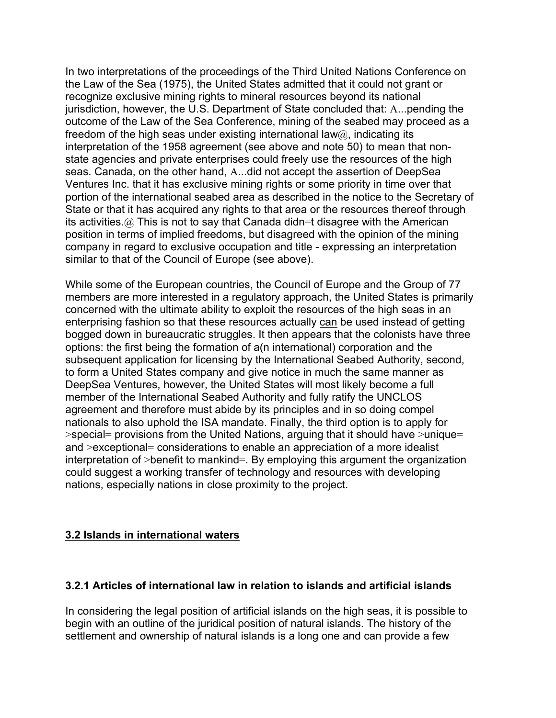In two interpretations of the proceedings of the Third United Nations Conference on the Law of the Sea (1975), the United States admitted that it could not grant or recognize exclusive mining rights to mineral resources beyond its national jurisdiction, however, the U.S. Department of State concluded that: A...pending the outcome of the Law of the Sea Conference, mining of the seabed may proceed as a freedom of the high seas under existing international law $@$ , indicating its interpretation of the 1958 agreement (see above and note 50) to mean that nonstate agencies and private enterprises could freely use the resources of the high seas. Canada, on the other hand, A...did not accept the assertion of DeepSea Ventures Inc. that it has exclusive mining rights or some priority in time over that portion of the international seabed area as described in the notice to the Secretary of State or that it has acquired any rights to that area or the resources thereof through its activities.@ This is not to say that Canada didn=t disagree with the American position in terms of implied freedoms, but disagreed with the opinion of the mining company in regard to exclusive occupation and title - expressing an interpretation similar to that of the Council of Europe (see above).

While some of the European countries, the Council of Europe and the Group of 77 members are more interested in a regulatory approach, the United States is primarily concerned with the ultimate ability to exploit the resources of the high seas in an enterprising fashion so that these resources actually can be used instead of getting bogged down in bureaucratic struggles. It then appears that the colonists have three options: the first being the formation of a(n international) corporation and the subsequent application for licensing by the International Seabed Authority, second, to form a United States company and give notice in much the same manner as DeepSea Ventures, however, the United States will most likely become a full member of the International Seabed Authority and fully ratify the UNCLOS agreement and therefore must abide by its principles and in so doing compel nationals to also uphold the ISA mandate. Finally, the third option is to apply for >special= provisions from the United Nations, arguing that it should have >unique= and >exceptional= considerations to enable an appreciation of a more idealist interpretation of >benefit to mankind=. By employing this argument the organization could suggest a working transfer of technology and resources with developing nations, especially nations in close proximity to the project.

## **3.2 Islands in international waters**

## **3.2.1 Articles of international law in relation to islands and artificial islands**

In considering the legal position of artificial islands on the high seas, it is possible to begin with an outline of the juridical position of natural islands. The history of the settlement and ownership of natural islands is a long one and can provide a few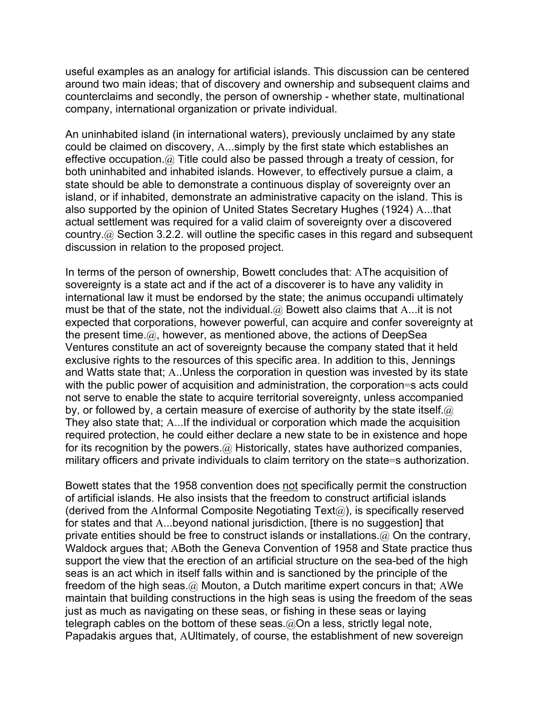useful examples as an analogy for artificial islands. This discussion can be centered around two main ideas; that of discovery and ownership and subsequent claims and counterclaims and secondly, the person of ownership - whether state, multinational company, international organization or private individual.

An uninhabited island (in international waters), previously unclaimed by any state could be claimed on discovery, A...simply by the first state which establishes an effective occupation.@ Title could also be passed through a treaty of cession, for both uninhabited and inhabited islands. However, to effectively pursue a claim, a state should be able to demonstrate a continuous display of sovereignty over an island, or if inhabited, demonstrate an administrative capacity on the island. This is also supported by the opinion of United States Secretary Hughes (1924) A...that actual settlement was required for a valid claim of sovereignty over a discovered country.@ Section 3.2.2. will outline the specific cases in this regard and subsequent discussion in relation to the proposed project.

In terms of the person of ownership, Bowett concludes that: AThe acquisition of sovereignty is a state act and if the act of a discoverer is to have any validity in international law it must be endorsed by the state; the animus occupandi ultimately must be that of the state, not the individual.@ Bowett also claims that A...it is not expected that corporations, however powerful, can acquire and confer sovereignty at the present time.@, however, as mentioned above, the actions of DeepSea Ventures constitute an act of sovereignty because the company stated that it held exclusive rights to the resources of this specific area. In addition to this, Jennings and Watts state that; A..Unless the corporation in question was invested by its state with the public power of acquisition and administration, the corporation=s acts could not serve to enable the state to acquire territorial sovereignty, unless accompanied by, or followed by, a certain measure of exercise of authority by the state itself. $\omega$ They also state that; A...If the individual or corporation which made the acquisition required protection, he could either declare a new state to be in existence and hope for its recognition by the powers.  $\omega$  Historically, states have authorized companies, military officers and private individuals to claim territory on the state=s authorization.

Bowett states that the 1958 convention does not specifically permit the construction of artificial islands. He also insists that the freedom to construct artificial islands (derived from the AInformal Composite Negotiating Text $(a)$ ), is specifically reserved for states and that A...beyond national jurisdiction, [there is no suggestion] that private entities should be free to construct islands or installations. $@$  On the contrary, Waldock argues that; ABoth the Geneva Convention of 1958 and State practice thus support the view that the erection of an artificial structure on the sea-bed of the high seas is an act which in itself falls within and is sanctioned by the principle of the freedom of the high seas.@ Mouton, a Dutch maritime expert concurs in that; AWe maintain that building constructions in the high seas is using the freedom of the seas just as much as navigating on these seas, or fishing in these seas or laying telegraph cables on the bottom of these seas.@On a less, strictly legal note, Papadakis argues that, AUltimately, of course, the establishment of new sovereign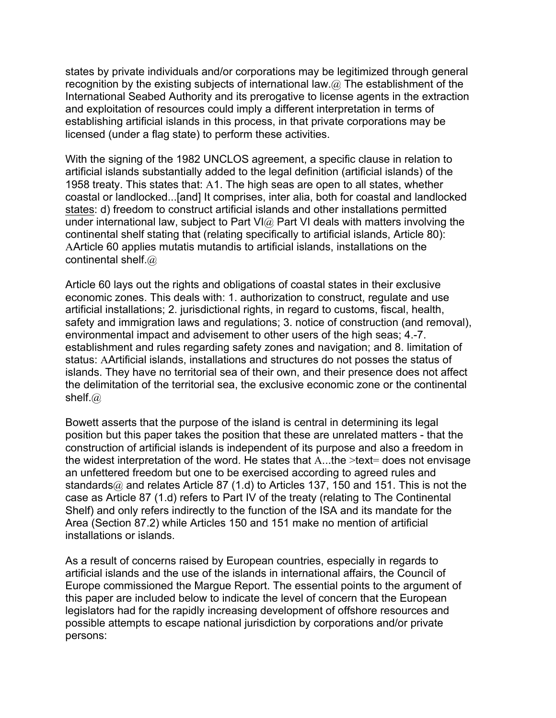states by private individuals and/or corporations may be legitimized through general recognition by the existing subjects of international law. $@$  The establishment of the International Seabed Authority and its prerogative to license agents in the extraction and exploitation of resources could imply a different interpretation in terms of establishing artificial islands in this process, in that private corporations may be licensed (under a flag state) to perform these activities.

With the signing of the 1982 UNCLOS agreement, a specific clause in relation to artificial islands substantially added to the legal definition (artificial islands) of the 1958 treaty. This states that: A1. The high seas are open to all states, whether coastal or landlocked...[and] It comprises, inter alia, both for coastal and landlocked states: d) freedom to construct artificial islands and other installations permitted under international law, subject to Part VI $@$  Part VI deals with matters involving the continental shelf stating that (relating specifically to artificial islands, Article 80): AArticle 60 applies mutatis mutandis to artificial islands, installations on the continental shelf.@

Article 60 lays out the rights and obligations of coastal states in their exclusive economic zones. This deals with: 1. authorization to construct, regulate and use artificial installations; 2. jurisdictional rights, in regard to customs, fiscal, health, safety and immigration laws and regulations; 3. notice of construction (and removal), environmental impact and advisement to other users of the high seas; 4.-7. establishment and rules regarding safety zones and navigation; and 8. limitation of status: AArtificial islands, installations and structures do not posses the status of islands. They have no territorial sea of their own, and their presence does not affect the delimitation of the territorial sea, the exclusive economic zone or the continental shelf.@

Bowett asserts that the purpose of the island is central in determining its legal position but this paper takes the position that these are unrelated matters - that the construction of artificial islands is independent of its purpose and also a freedom in the widest interpretation of the word. He states that A...the >text= does not envisage an unfettered freedom but one to be exercised according to agreed rules and standards $@$  and relates Article 87 (1.d) to Articles 137, 150 and 151. This is not the case as Article 87 (1.d) refers to Part IV of the treaty (relating to The Continental Shelf) and only refers indirectly to the function of the ISA and its mandate for the Area (Section 87.2) while Articles 150 and 151 make no mention of artificial installations or islands.

As a result of concerns raised by European countries, especially in regards to artificial islands and the use of the islands in international affairs, the Council of Europe commissioned the Margue Report. The essential points to the argument of this paper are included below to indicate the level of concern that the European legislators had for the rapidly increasing development of offshore resources and possible attempts to escape national jurisdiction by corporations and/or private persons: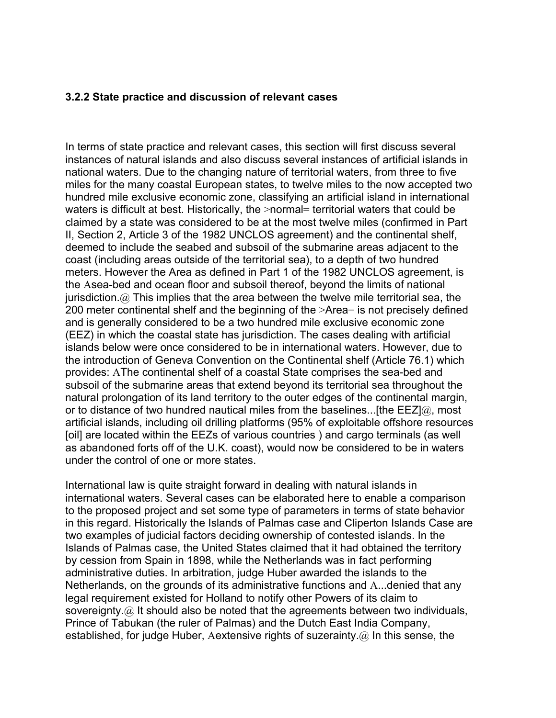#### **3.2.2 State practice and discussion of relevant cases**

In terms of state practice and relevant cases, this section will first discuss several instances of natural islands and also discuss several instances of artificial islands in national waters. Due to the changing nature of territorial waters, from three to five miles for the many coastal European states, to twelve miles to the now accepted two hundred mile exclusive economic zone, classifying an artificial island in international waters is difficult at best. Historically, the >normal= territorial waters that could be claimed by a state was considered to be at the most twelve miles (confirmed in Part II, Section 2, Article 3 of the 1982 UNCLOS agreement) and the continental shelf, deemed to include the seabed and subsoil of the submarine areas adjacent to the coast (including areas outside of the territorial sea), to a depth of two hundred meters. However the Area as defined in Part 1 of the 1982 UNCLOS agreement, is the Asea-bed and ocean floor and subsoil thereof, beyond the limits of national jurisdiction. $\omega$  This implies that the area between the twelve mile territorial sea, the 200 meter continental shelf and the beginning of the >Area= is not precisely defined and is generally considered to be a two hundred mile exclusive economic zone (EEZ) in which the coastal state has jurisdiction. The cases dealing with artificial islands below were once considered to be in international waters. However, due to the introduction of Geneva Convention on the Continental shelf (Article 76.1) which provides: AThe continental shelf of a coastal State comprises the sea-bed and subsoil of the submarine areas that extend beyond its territorial sea throughout the natural prolongation of its land territory to the outer edges of the continental margin, or to distance of two hundred nautical miles from the baselines...[the  $E \in \mathbb{E}[a]$ , most artificial islands, including oil drilling platforms (95% of exploitable offshore resources [oil] are located within the EEZs of various countries ) and cargo terminals (as well as abandoned forts off of the U.K. coast), would now be considered to be in waters under the control of one or more states.

International law is quite straight forward in dealing with natural islands in international waters. Several cases can be elaborated here to enable a comparison to the proposed project and set some type of parameters in terms of state behavior in this regard. Historically the Islands of Palmas case and Cliperton Islands Case are two examples of judicial factors deciding ownership of contested islands. In the Islands of Palmas case, the United States claimed that it had obtained the territory by cession from Spain in 1898, while the Netherlands was in fact performing administrative duties. In arbitration, judge Huber awarded the islands to the Netherlands, on the grounds of its administrative functions and A...denied that any legal requirement existed for Holland to notify other Powers of its claim to sovereignty.@ It should also be noted that the agreements between two individuals, Prince of Tabukan (the ruler of Palmas) and the Dutch East India Company, established, for judge Huber, Aextensive rights of suzerainty.  $\omega$  In this sense, the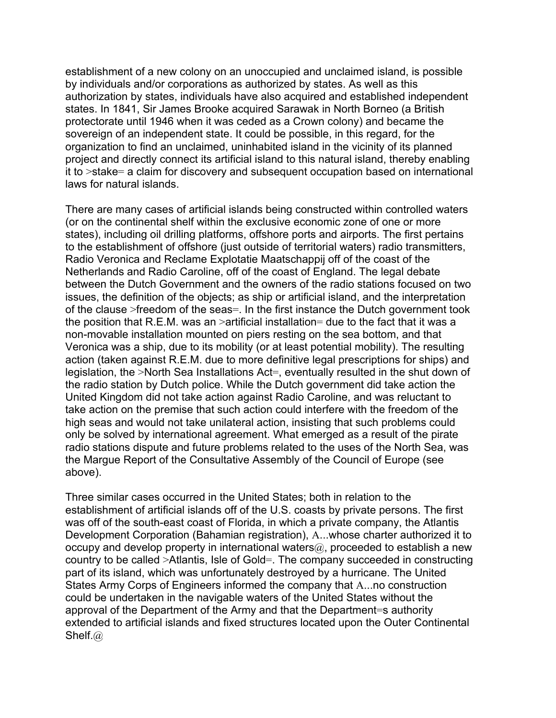establishment of a new colony on an unoccupied and unclaimed island, is possible by individuals and/or corporations as authorized by states. As well as this authorization by states, individuals have also acquired and established independent states. In 1841, Sir James Brooke acquired Sarawak in North Borneo (a British protectorate until 1946 when it was ceded as a Crown colony) and became the sovereign of an independent state. It could be possible, in this regard, for the organization to find an unclaimed, uninhabited island in the vicinity of its planned project and directly connect its artificial island to this natural island, thereby enabling it to >stake= a claim for discovery and subsequent occupation based on international laws for natural islands.

There are many cases of artificial islands being constructed within controlled waters (or on the continental shelf within the exclusive economic zone of one or more states), including oil drilling platforms, offshore ports and airports. The first pertains to the establishment of offshore (just outside of territorial waters) radio transmitters, Radio Veronica and Reclame Explotatie Maatschappij off of the coast of the Netherlands and Radio Caroline, off of the coast of England. The legal debate between the Dutch Government and the owners of the radio stations focused on two issues, the definition of the objects; as ship or artificial island, and the interpretation of the clause >freedom of the seas=. In the first instance the Dutch government took the position that R.E.M. was an >artificial installation= due to the fact that it was a non-movable installation mounted on piers resting on the sea bottom, and that Veronica was a ship, due to its mobility (or at least potential mobility). The resulting action (taken against R.E.M. due to more definitive legal prescriptions for ships) and legislation, the >North Sea Installations Act=, eventually resulted in the shut down of the radio station by Dutch police. While the Dutch government did take action the United Kingdom did not take action against Radio Caroline, and was reluctant to take action on the premise that such action could interfere with the freedom of the high seas and would not take unilateral action, insisting that such problems could only be solved by international agreement. What emerged as a result of the pirate radio stations dispute and future problems related to the uses of the North Sea, was the Margue Report of the Consultative Assembly of the Council of Europe (see above).

Three similar cases occurred in the United States; both in relation to the establishment of artificial islands off of the U.S. coasts by private persons. The first was off of the south-east coast of Florida, in which a private company, the Atlantis Development Corporation (Bahamian registration), A...whose charter authorized it to occupy and develop property in international waters $@$ , proceeded to establish a new country to be called >Atlantis, Isle of Gold=. The company succeeded in constructing part of its island, which was unfortunately destroyed by a hurricane. The United States Army Corps of Engineers informed the company that A...no construction could be undertaken in the navigable waters of the United States without the approval of the Department of the Army and that the Department=s authority extended to artificial islands and fixed structures located upon the Outer Continental Shelf.@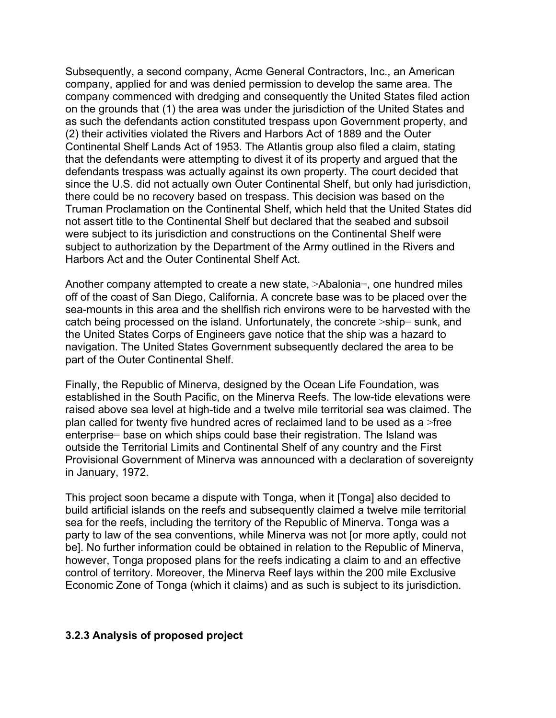Subsequently, a second company, Acme General Contractors, Inc., an American company, applied for and was denied permission to develop the same area. The company commenced with dredging and consequently the United States filed action on the grounds that (1) the area was under the jurisdiction of the United States and as such the defendants action constituted trespass upon Government property, and (2) their activities violated the Rivers and Harbors Act of 1889 and the Outer Continental Shelf Lands Act of 1953. The Atlantis group also filed a claim, stating that the defendants were attempting to divest it of its property and argued that the defendants trespass was actually against its own property. The court decided that since the U.S. did not actually own Outer Continental Shelf, but only had jurisdiction, there could be no recovery based on trespass. This decision was based on the Truman Proclamation on the Continental Shelf, which held that the United States did not assert title to the Continental Shelf but declared that the seabed and subsoil were subject to its jurisdiction and constructions on the Continental Shelf were subject to authorization by the Department of the Army outlined in the Rivers and Harbors Act and the Outer Continental Shelf Act.

Another company attempted to create a new state, >Abalonia=, one hundred miles off of the coast of San Diego, California. A concrete base was to be placed over the sea-mounts in this area and the shellfish rich environs were to be harvested with the catch being processed on the island. Unfortunately, the concrete >ship= sunk, and the United States Corps of Engineers gave notice that the ship was a hazard to navigation. The United States Government subsequently declared the area to be part of the Outer Continental Shelf.

Finally, the Republic of Minerva, designed by the Ocean Life Foundation, was established in the South Pacific, on the Minerva Reefs. The low-tide elevations were raised above sea level at high-tide and a twelve mile territorial sea was claimed. The plan called for twenty five hundred acres of reclaimed land to be used as a >free enterprise= base on which ships could base their registration. The Island was outside the Territorial Limits and Continental Shelf of any country and the First Provisional Government of Minerva was announced with a declaration of sovereignty in January, 1972.

This project soon became a dispute with Tonga, when it [Tonga] also decided to build artificial islands on the reefs and subsequently claimed a twelve mile territorial sea for the reefs, including the territory of the Republic of Minerva. Tonga was a party to law of the sea conventions, while Minerva was not [or more aptly, could not be]. No further information could be obtained in relation to the Republic of Minerva, however, Tonga proposed plans for the reefs indicating a claim to and an effective control of territory. Moreover, the Minerva Reef lays within the 200 mile Exclusive Economic Zone of Tonga (which it claims) and as such is subject to its jurisdiction.

## **3.2.3 Analysis of proposed project**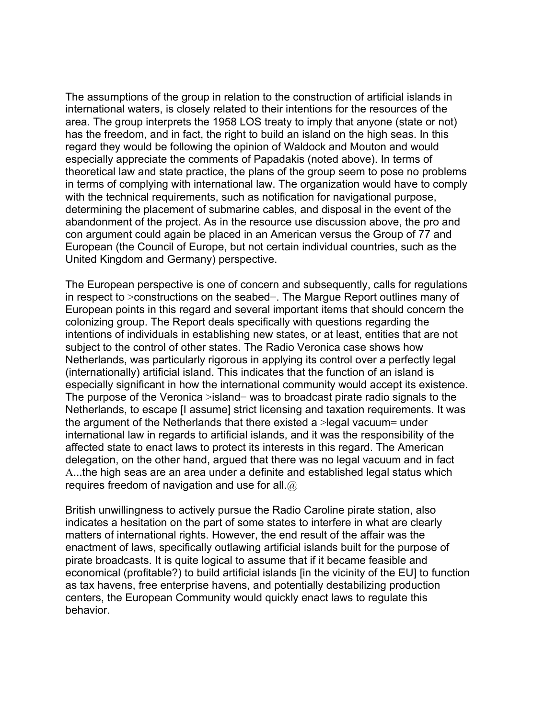The assumptions of the group in relation to the construction of artificial islands in international waters, is closely related to their intentions for the resources of the area. The group interprets the 1958 LOS treaty to imply that anyone (state or not) has the freedom, and in fact, the right to build an island on the high seas. In this regard they would be following the opinion of Waldock and Mouton and would especially appreciate the comments of Papadakis (noted above). In terms of theoretical law and state practice, the plans of the group seem to pose no problems in terms of complying with international law. The organization would have to comply with the technical requirements, such as notification for navigational purpose, determining the placement of submarine cables, and disposal in the event of the abandonment of the project. As in the resource use discussion above, the pro and con argument could again be placed in an American versus the Group of 77 and European (the Council of Europe, but not certain individual countries, such as the United Kingdom and Germany) perspective.

The European perspective is one of concern and subsequently, calls for regulations in respect to >constructions on the seabed=. The Margue Report outlines many of European points in this regard and several important items that should concern the colonizing group. The Report deals specifically with questions regarding the intentions of individuals in establishing new states, or at least, entities that are not subject to the control of other states. The Radio Veronica case shows how Netherlands, was particularly rigorous in applying its control over a perfectly legal (internationally) artificial island. This indicates that the function of an island is especially significant in how the international community would accept its existence. The purpose of the Veronica >island= was to broadcast pirate radio signals to the Netherlands, to escape [I assume] strict licensing and taxation requirements. It was the argument of the Netherlands that there existed a  $>$ legal vacuum= under international law in regards to artificial islands, and it was the responsibility of the affected state to enact laws to protect its interests in this regard. The American delegation, on the other hand, argued that there was no legal vacuum and in fact A...the high seas are an area under a definite and established legal status which requires freedom of navigation and use for all. $@$ 

British unwillingness to actively pursue the Radio Caroline pirate station, also indicates a hesitation on the part of some states to interfere in what are clearly matters of international rights. However, the end result of the affair was the enactment of laws, specifically outlawing artificial islands built for the purpose of pirate broadcasts. It is quite logical to assume that if it became feasible and economical (profitable?) to build artificial islands [in the vicinity of the EU] to function as tax havens, free enterprise havens, and potentially destabilizing production centers, the European Community would quickly enact laws to regulate this behavior.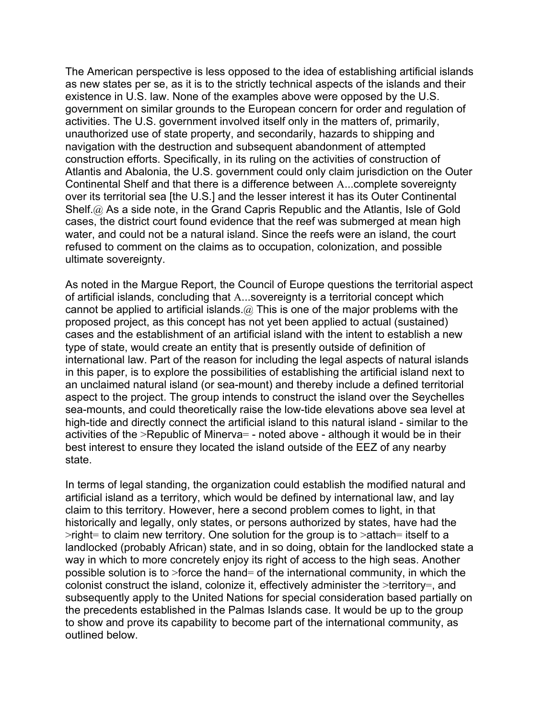The American perspective is less opposed to the idea of establishing artificial islands as new states per se, as it is to the strictly technical aspects of the islands and their existence in U.S. law. None of the examples above were opposed by the U.S. government on similar grounds to the European concern for order and regulation of activities. The U.S. government involved itself only in the matters of, primarily, unauthorized use of state property, and secondarily, hazards to shipping and navigation with the destruction and subsequent abandonment of attempted construction efforts. Specifically, in its ruling on the activities of construction of Atlantis and Abalonia, the U.S. government could only claim jurisdiction on the Outer Continental Shelf and that there is a difference between A...complete sovereignty over its territorial sea [the U.S.] and the lesser interest it has its Outer Continental Shelf.@ As a side note, in the Grand Capris Republic and the Atlantis, Isle of Gold cases, the district court found evidence that the reef was submerged at mean high water, and could not be a natural island. Since the reefs were an island, the court refused to comment on the claims as to occupation, colonization, and possible ultimate sovereignty.

As noted in the Margue Report, the Council of Europe questions the territorial aspect of artificial islands, concluding that A...sovereignty is a territorial concept which cannot be applied to artificial islands.  $(a)$  This is one of the major problems with the proposed project, as this concept has not yet been applied to actual (sustained) cases and the establishment of an artificial island with the intent to establish a new type of state, would create an entity that is presently outside of definition of international law. Part of the reason for including the legal aspects of natural islands in this paper, is to explore the possibilities of establishing the artificial island next to an unclaimed natural island (or sea-mount) and thereby include a defined territorial aspect to the project. The group intends to construct the island over the Seychelles sea-mounts, and could theoretically raise the low-tide elevations above sea level at high-tide and directly connect the artificial island to this natural island - similar to the activities of the >Republic of Minerva= - noted above - although it would be in their best interest to ensure they located the island outside of the EEZ of any nearby state.

In terms of legal standing, the organization could establish the modified natural and artificial island as a territory, which would be defined by international law, and lay claim to this territory. However, here a second problem comes to light, in that historically and legally, only states, or persons authorized by states, have had the  $\rightarrow$ right= to claim new territory. One solution for the group is to  $\rightarrow$ attach= itself to a landlocked (probably African) state, and in so doing, obtain for the landlocked state a way in which to more concretely enjoy its right of access to the high seas. Another possible solution is to >force the hand= of the international community, in which the colonist construct the island, colonize it, effectively administer the >territory=, and subsequently apply to the United Nations for special consideration based partially on the precedents established in the Palmas Islands case. It would be up to the group to show and prove its capability to become part of the international community, as outlined below.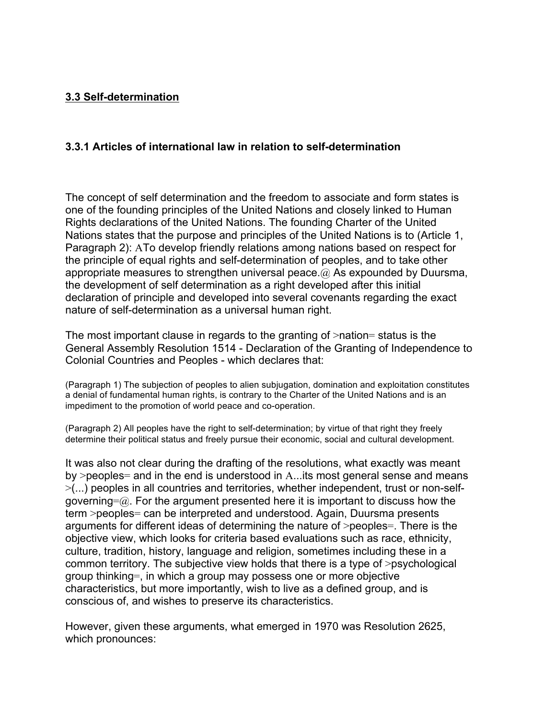## **3.3 Self-determination**

## **3.3.1 Articles of international law in relation to self-determination**

The concept of self determination and the freedom to associate and form states is one of the founding principles of the United Nations and closely linked to Human Rights declarations of the United Nations. The founding Charter of the United Nations states that the purpose and principles of the United Nations is to (Article 1, Paragraph 2): ATo develop friendly relations among nations based on respect for the principle of equal rights and self-determination of peoples, and to take other appropriate measures to strengthen universal peace.  $\omega$  As expounded by Duursma, the development of self determination as a right developed after this initial declaration of principle and developed into several covenants regarding the exact nature of self-determination as a universal human right.

The most important clause in regards to the granting of >nation= status is the General Assembly Resolution 1514 - Declaration of the Granting of Independence to Colonial Countries and Peoples - which declares that:

(Paragraph 1) The subjection of peoples to alien subjugation, domination and exploitation constitutes a denial of fundamental human rights, is contrary to the Charter of the United Nations and is an impediment to the promotion of world peace and co-operation.

(Paragraph 2) All peoples have the right to self-determination; by virtue of that right they freely determine their political status and freely pursue their economic, social and cultural development.

It was also not clear during the drafting of the resolutions, what exactly was meant by >peoples= and in the end is understood in A...its most general sense and means >(...) peoples in all countries and territories, whether independent, trust or non-selfgoverning= $\omega$ . For the argument presented here it is important to discuss how the term >peoples= can be interpreted and understood. Again, Duursma presents arguments for different ideas of determining the nature of >peoples=. There is the objective view, which looks for criteria based evaluations such as race, ethnicity, culture, tradition, history, language and religion, sometimes including these in a common territory. The subjective view holds that there is a type of >psychological group thinking=, in which a group may possess one or more objective characteristics, but more importantly, wish to live as a defined group, and is conscious of, and wishes to preserve its characteristics.

However, given these arguments, what emerged in 1970 was Resolution 2625, which pronounces: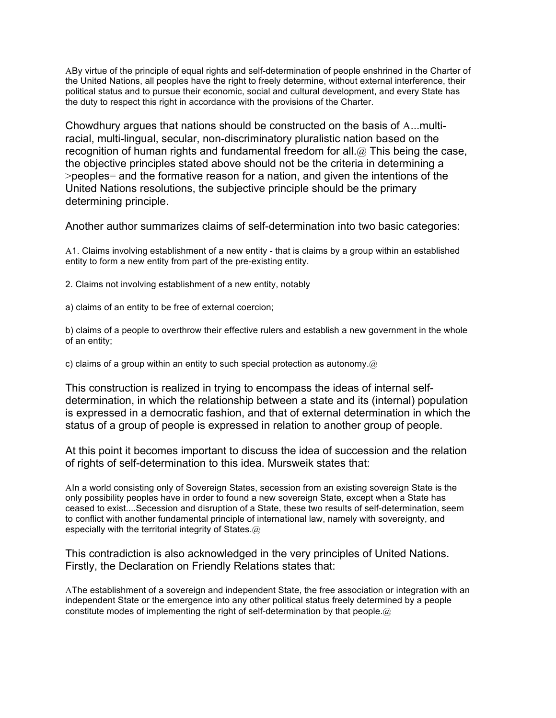ABy virtue of the principle of equal rights and self-determination of people enshrined in the Charter of the United Nations, all peoples have the right to freely determine, without external interference, their political status and to pursue their economic, social and cultural development, and every State has the duty to respect this right in accordance with the provisions of the Charter.

Chowdhury argues that nations should be constructed on the basis of A...multiracial, multi-lingual, secular, non-discriminatory pluralistic nation based on the recognition of human rights and fundamental freedom for all.  $@$  This being the case, the objective principles stated above should not be the criteria in determining a >peoples= and the formative reason for a nation, and given the intentions of the United Nations resolutions, the subjective principle should be the primary determining principle.

Another author summarizes claims of self-determination into two basic categories:

A1. Claims involving establishment of a new entity - that is claims by a group within an established entity to form a new entity from part of the pre-existing entity.

2. Claims not involving establishment of a new entity, notably

a) claims of an entity to be free of external coercion;

b) claims of a people to overthrow their effective rulers and establish a new government in the whole of an entity;

c) claims of a group within an entity to such special protection as autonomy. $@$ 

This construction is realized in trying to encompass the ideas of internal selfdetermination, in which the relationship between a state and its (internal) population is expressed in a democratic fashion, and that of external determination in which the status of a group of people is expressed in relation to another group of people.

At this point it becomes important to discuss the idea of succession and the relation of rights of self-determination to this idea. Mursweik states that:

AIn a world consisting only of Sovereign States, secession from an existing sovereign State is the only possibility peoples have in order to found a new sovereign State, except when a State has ceased to exist....Secession and disruption of a State, these two results of self-determination, seem to conflict with another fundamental principle of international law, namely with sovereignty, and especially with the territorial integrity of States.@

This contradiction is also acknowledged in the very principles of United Nations. Firstly, the Declaration on Friendly Relations states that:

AThe establishment of a sovereign and independent State, the free association or integration with an independent State or the emergence into any other political status freely determined by a people constitute modes of implementing the right of self-determination by that people.@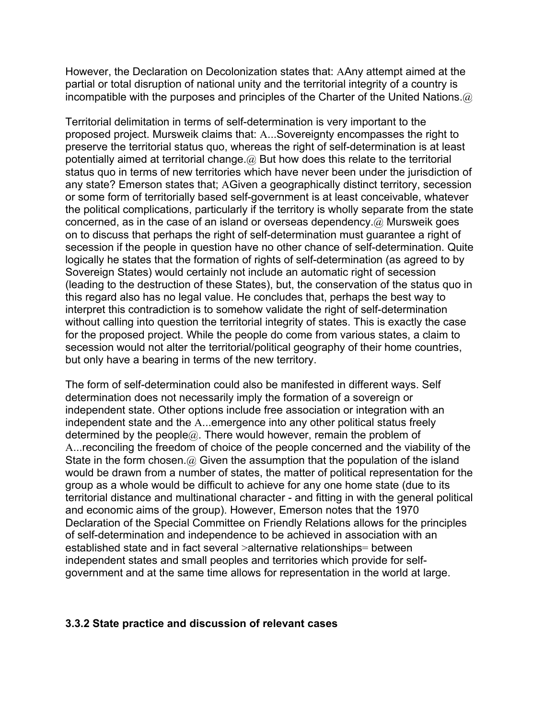However, the Declaration on Decolonization states that: AAny attempt aimed at the partial or total disruption of national unity and the territorial integrity of a country is incompatible with the purposes and principles of the Charter of the United Nations. $\omega$ 

Territorial delimitation in terms of self-determination is very important to the proposed project. Mursweik claims that: A...Sovereignty encompasses the right to preserve the territorial status quo, whereas the right of self-determination is at least potentially aimed at territorial change. $@$  But how does this relate to the territorial status quo in terms of new territories which have never been under the jurisdiction of any state? Emerson states that; AGiven a geographically distinct territory, secession or some form of territorially based self-government is at least conceivable, whatever the political complications, particularly if the territory is wholly separate from the state concerned, as in the case of an island or overseas dependency.@ Mursweik goes on to discuss that perhaps the right of self-determination must guarantee a right of secession if the people in question have no other chance of self-determination. Quite logically he states that the formation of rights of self-determination (as agreed to by Sovereign States) would certainly not include an automatic right of secession (leading to the destruction of these States), but, the conservation of the status quo in this regard also has no legal value. He concludes that, perhaps the best way to interpret this contradiction is to somehow validate the right of self-determination without calling into question the territorial integrity of states. This is exactly the case for the proposed project. While the people do come from various states, a claim to secession would not alter the territorial/political geography of their home countries, but only have a bearing in terms of the new territory.

The form of self-determination could also be manifested in different ways. Self determination does not necessarily imply the formation of a sovereign or independent state. Other options include free association or integration with an independent state and the A...emergence into any other political status freely determined by the people $@.$  There would however, remain the problem of A...reconciling the freedom of choice of the people concerned and the viability of the State in the form chosen. $\omega$  Given the assumption that the population of the island would be drawn from a number of states, the matter of political representation for the group as a whole would be difficult to achieve for any one home state (due to its territorial distance and multinational character - and fitting in with the general political and economic aims of the group). However, Emerson notes that the 1970 Declaration of the Special Committee on Friendly Relations allows for the principles of self-determination and independence to be achieved in association with an established state and in fact several >alternative relationships= between independent states and small peoples and territories which provide for selfgovernment and at the same time allows for representation in the world at large.

## **3.3.2 State practice and discussion of relevant cases**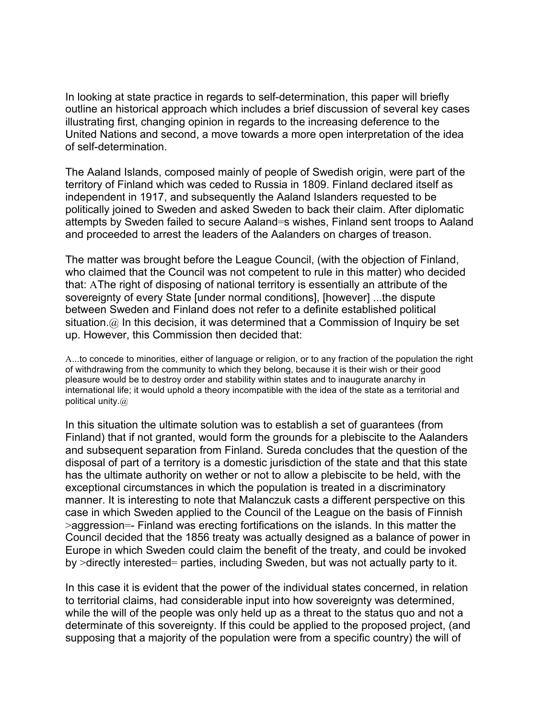In looking at state practice in regards to self-determination, this paper will briefly outline an historical approach which includes a brief discussion of several key cases illustrating first, changing opinion in regards to the increasing deference to the United Nations and second, a move towards a more open interpretation of the idea of self-determination.

The Aaland Islands, composed mainly of people of Swedish origin, were part of the territory of Finland which was ceded to Russia in 1809. Finland declared itself as independent in 1917, and subsequently the Aaland Islanders requested to be politically joined to Sweden and asked Sweden to back their claim. After diplomatic attempts by Sweden failed to secure Aaland=s wishes, Finland sent troops to Aaland and proceeded to arrest the leaders of the Aalanders on charges of treason.

The matter was brought before the League Council, (with the objection of Finland, who claimed that the Council was not competent to rule in this matter) who decided that: AThe right of disposing of national territory is essentially an attribute of the sovereignty of every State [under normal conditions], [however] ...the dispute between Sweden and Finland does not refer to a definite established political situation. $\omega$  In this decision, it was determined that a Commission of Inquiry be set up. However, this Commission then decided that:

A...to concede to minorities, either of language or religion, or to any fraction of the population the right of withdrawing from the community to which they belong, because it is their wish or their good pleasure would be to destroy order and stability within states and to inaugurate anarchy in international life; it would uphold a theory incompatible with the idea of the state as a territorial and political unity.@

In this situation the ultimate solution was to establish a set of guarantees (from Finland) that if not granted, would form the grounds for a plebiscite to the Aalanders and subsequent separation from Finland. Sureda concludes that the question of the disposal of part of a territory is a domestic jurisdiction of the state and that this state has the ultimate authority on wether or not to allow a plebiscite to be held, with the exceptional circumstances in which the population is treated in a discriminatory manner. It is interesting to note that Malanczuk casts a different perspective on this case in which Sweden applied to the Council of the League on the basis of Finnish >aggression=- Finland was erecting fortifications on the islands. In this matter the Council decided that the 1856 treaty was actually designed as a balance of power in Europe in which Sweden could claim the benefit of the treaty, and could be invoked by >directly interested= parties, including Sweden, but was not actually party to it.

In this case it is evident that the power of the individual states concerned, in relation to territorial claims, had considerable input into how sovereignty was determined, while the will of the people was only held up as a threat to the status quo and not a determinate of this sovereignty. If this could be applied to the proposed project, (and supposing that a majority of the population were from a specific country) the will of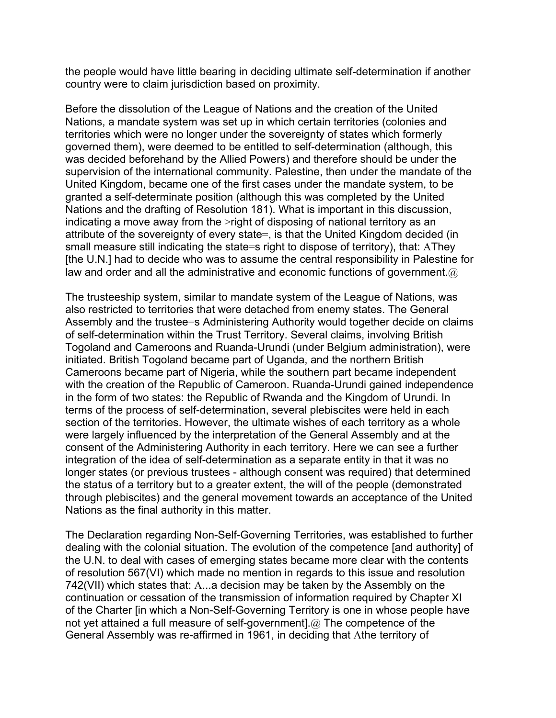the people would have little bearing in deciding ultimate self-determination if another country were to claim jurisdiction based on proximity.

Before the dissolution of the League of Nations and the creation of the United Nations, a mandate system was set up in which certain territories (colonies and territories which were no longer under the sovereignty of states which formerly governed them), were deemed to be entitled to self-determination (although, this was decided beforehand by the Allied Powers) and therefore should be under the supervision of the international community. Palestine, then under the mandate of the United Kingdom, became one of the first cases under the mandate system, to be granted a self-determinate position (although this was completed by the United Nations and the drafting of Resolution 181). What is important in this discussion, indicating a move away from the >right of disposing of national territory as an attribute of the sovereignty of every state=, is that the United Kingdom decided (in small measure still indicating the state=s right to dispose of territory), that: AThey [the U.N.] had to decide who was to assume the central responsibility in Palestine for law and order and all the administrative and economic functions of government. $\omega$ 

The trusteeship system, similar to mandate system of the League of Nations, was also restricted to territories that were detached from enemy states. The General Assembly and the trustee=s Administering Authority would together decide on claims of self-determination within the Trust Territory. Several claims, involving British Togoland and Cameroons and Ruanda-Urundi (under Belgium administration), were initiated. British Togoland became part of Uganda, and the northern British Cameroons became part of Nigeria, while the southern part became independent with the creation of the Republic of Cameroon. Ruanda-Urundi gained independence in the form of two states: the Republic of Rwanda and the Kingdom of Urundi. In terms of the process of self-determination, several plebiscites were held in each section of the territories. However, the ultimate wishes of each territory as a whole were largely influenced by the interpretation of the General Assembly and at the consent of the Administering Authority in each territory. Here we can see a further integration of the idea of self-determination as a separate entity in that it was no longer states (or previous trustees - although consent was required) that determined the status of a territory but to a greater extent, the will of the people (demonstrated through plebiscites) and the general movement towards an acceptance of the United Nations as the final authority in this matter.

The Declaration regarding Non-Self-Governing Territories, was established to further dealing with the colonial situation. The evolution of the competence [and authority] of the U.N. to deal with cases of emerging states became more clear with the contents of resolution 567(VI) which made no mention in regards to this issue and resolution 742(VII) which states that: A...a decision may be taken by the Assembly on the continuation or cessation of the transmission of information required by Chapter XI of the Charter [in which a Non-Self-Governing Territory is one in whose people have not yet attained a full measure of self-government].@ The competence of the General Assembly was re-affirmed in 1961, in deciding that Athe territory of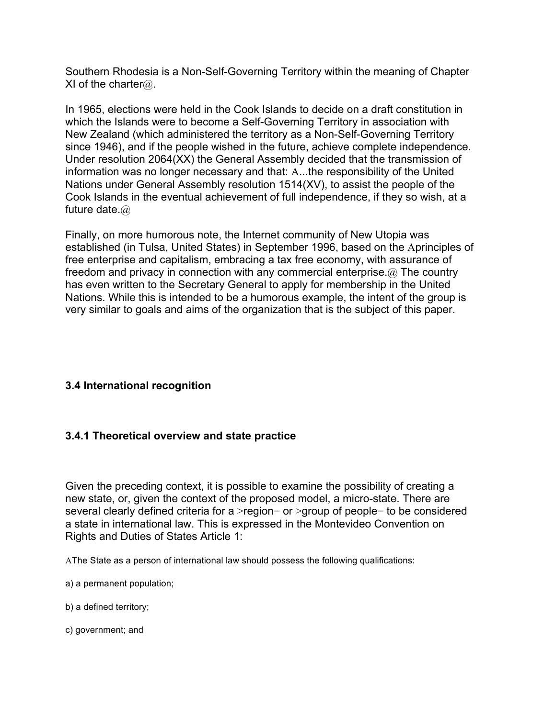Southern Rhodesia is a Non-Self-Governing Territory within the meaning of Chapter XI of the charter $@.$ 

In 1965, elections were held in the Cook Islands to decide on a draft constitution in which the Islands were to become a Self-Governing Territory in association with New Zealand (which administered the territory as a Non-Self-Governing Territory since 1946), and if the people wished in the future, achieve complete independence. Under resolution 2064(XX) the General Assembly decided that the transmission of information was no longer necessary and that: A...the responsibility of the United Nations under General Assembly resolution 1514(XV), to assist the people of the Cook Islands in the eventual achievement of full independence, if they so wish, at a future date.@

Finally, on more humorous note, the Internet community of New Utopia was established (in Tulsa, United States) in September 1996, based on the Aprinciples of free enterprise and capitalism, embracing a tax free economy, with assurance of freedom and privacy in connection with any commercial enterprise.@ The country has even written to the Secretary General to apply for membership in the United Nations. While this is intended to be a humorous example, the intent of the group is very similar to goals and aims of the organization that is the subject of this paper.

# **3.4 International recognition**

## **3.4.1 Theoretical overview and state practice**

Given the preceding context, it is possible to examine the possibility of creating a new state, or, given the context of the proposed model, a micro-state. There are several clearly defined criteria for a >region= or >group of people= to be considered a state in international law. This is expressed in the Montevideo Convention on Rights and Duties of States Article 1:

AThe State as a person of international law should possess the following qualifications:

- a) a permanent population;
- b) a defined territory;
- c) government; and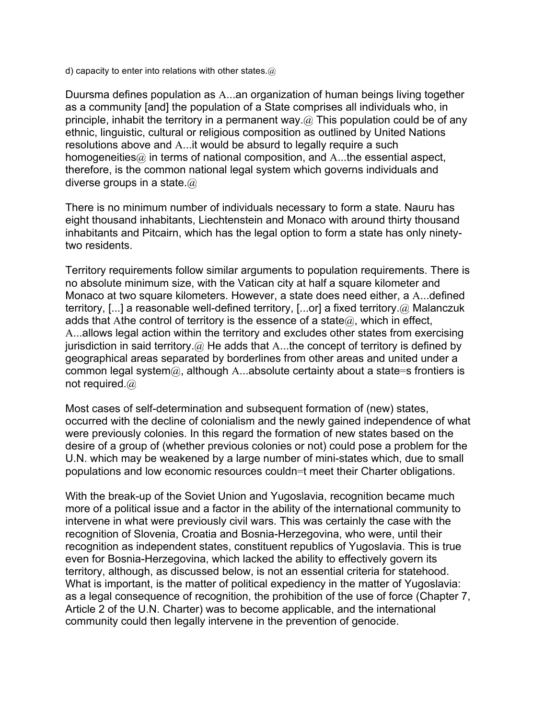d) capacity to enter into relations with other states. $@$ 

Duursma defines population as A...an organization of human beings living together as a community [and] the population of a State comprises all individuals who, in principle, inhabit the territory in a permanent way. $\omega$  This population could be of any ethnic, linguistic, cultural or religious composition as outlined by United Nations resolutions above and A...it would be absurd to legally require a such homogeneities $@$  in terms of national composition, and A...the essential aspect, therefore, is the common national legal system which governs individuals and diverse groups in a state  $\omega$ 

There is no minimum number of individuals necessary to form a state. Nauru has eight thousand inhabitants, Liechtenstein and Monaco with around thirty thousand inhabitants and Pitcairn, which has the legal option to form a state has only ninetytwo residents.

Territory requirements follow similar arguments to population requirements. There is no absolute minimum size, with the Vatican city at half a square kilometer and Monaco at two square kilometers. However, a state does need either, a A...defined territory, [...] a reasonable well-defined territory, [...or] a fixed territory.@ Malanczuk adds that Athe control of territory is the essence of a state $@$ , which in effect, A...allows legal action within the territory and excludes other states from exercising jurisdiction in said territory.  $\omega$  He adds that A...the concept of territory is defined by geographical areas separated by borderlines from other areas and united under a common legal system@, although A...absolute certainty about a state=s frontiers is not required.@

Most cases of self-determination and subsequent formation of (new) states, occurred with the decline of colonialism and the newly gained independence of what were previously colonies. In this regard the formation of new states based on the desire of a group of (whether previous colonies or not) could pose a problem for the U.N. which may be weakened by a large number of mini-states which, due to small populations and low economic resources couldn=t meet their Charter obligations.

With the break-up of the Soviet Union and Yugoslavia, recognition became much more of a political issue and a factor in the ability of the international community to intervene in what were previously civil wars. This was certainly the case with the recognition of Slovenia, Croatia and Bosnia-Herzegovina, who were, until their recognition as independent states, constituent republics of Yugoslavia. This is true even for Bosnia-Herzegovina, which lacked the ability to effectively govern its territory, although, as discussed below, is not an essential criteria for statehood. What is important, is the matter of political expediency in the matter of Yugoslavia: as a legal consequence of recognition, the prohibition of the use of force (Chapter 7, Article 2 of the U.N. Charter) was to become applicable, and the international community could then legally intervene in the prevention of genocide.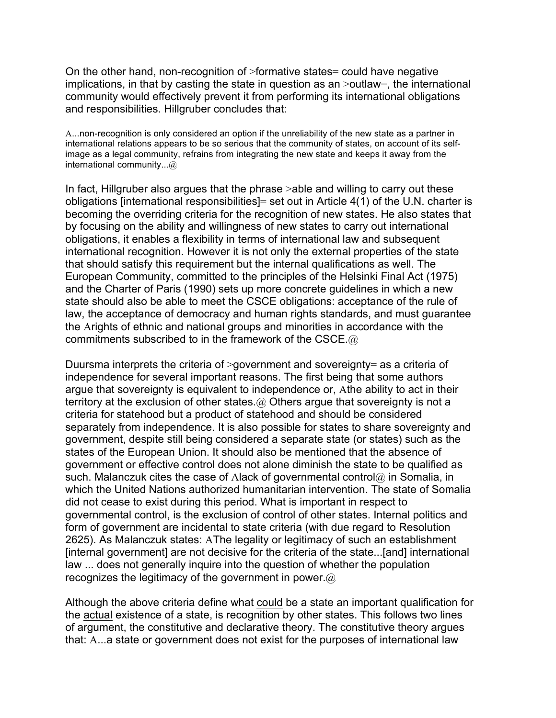On the other hand, non-recognition of >formative states= could have negative implications, in that by casting the state in question as an >outlaw=, the international community would effectively prevent it from performing its international obligations and responsibilities. Hillgruber concludes that:

A...non-recognition is only considered an option if the unreliability of the new state as a partner in international relations appears to be so serious that the community of states, on account of its selfimage as a legal community, refrains from integrating the new state and keeps it away from the international community...@

In fact, Hillgruber also argues that the phrase >able and willing to carry out these obligations [international responsibilities]= set out in Article 4(1) of the U.N. charter is becoming the overriding criteria for the recognition of new states. He also states that by focusing on the ability and willingness of new states to carry out international obligations, it enables a flexibility in terms of international law and subsequent international recognition. However it is not only the external properties of the state that should satisfy this requirement but the internal qualifications as well. The European Community, committed to the principles of the Helsinki Final Act (1975) and the Charter of Paris (1990) sets up more concrete guidelines in which a new state should also be able to meet the CSCE obligations: acceptance of the rule of law, the acceptance of democracy and human rights standards, and must guarantee the Arights of ethnic and national groups and minorities in accordance with the commitments subscribed to in the framework of the CSCE.@

Duursma interprets the criteria of >government and sovereignty= as a criteria of independence for several important reasons. The first being that some authors argue that sovereignty is equivalent to independence or, Athe ability to act in their territory at the exclusion of other states.@ Others argue that sovereignty is not a criteria for statehood but a product of statehood and should be considered separately from independence. It is also possible for states to share sovereignty and government, despite still being considered a separate state (or states) such as the states of the European Union. It should also be mentioned that the absence of government or effective control does not alone diminish the state to be qualified as such. Malanczuk cites the case of Alack of governmental control $@$  in Somalia, in which the United Nations authorized humanitarian intervention. The state of Somalia did not cease to exist during this period. What is important in respect to governmental control, is the exclusion of control of other states. Internal politics and form of government are incidental to state criteria (with due regard to Resolution 2625). As Malanczuk states: AThe legality or legitimacy of such an establishment [internal government] are not decisive for the criteria of the state...[and] international law ... does not generally inquire into the question of whether the population recognizes the legitimacy of the government in power. $\omega$ 

Although the above criteria define what could be a state an important qualification for the actual existence of a state, is recognition by other states. This follows two lines of argument, the constitutive and declarative theory. The constitutive theory argues that: A...a state or government does not exist for the purposes of international law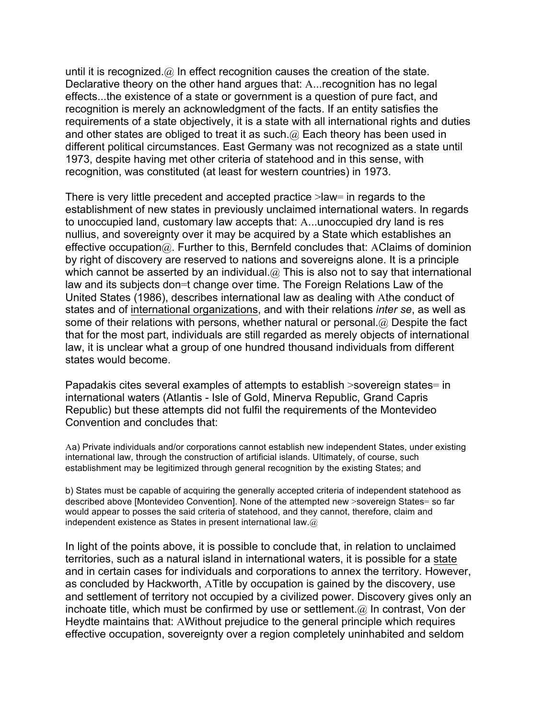until it is recognized. $\omega$  in effect recognition causes the creation of the state. Declarative theory on the other hand argues that: A...recognition has no legal effects...the existence of a state or government is a question of pure fact, and recognition is merely an acknowledgment of the facts. If an entity satisfies the requirements of a state objectively, it is a state with all international rights and duties and other states are obliged to treat it as such. $@$  Each theory has been used in different political circumstances. East Germany was not recognized as a state until 1973, despite having met other criteria of statehood and in this sense, with recognition, was constituted (at least for western countries) in 1973.

There is very little precedent and accepted practice >law= in regards to the establishment of new states in previously unclaimed international waters. In regards to unoccupied land, customary law accepts that: A...unoccupied dry land is res nullius, and sovereignty over it may be acquired by a State which establishes an effective occupation@. Further to this, Bernfeld concludes that: AClaims of dominion by right of discovery are reserved to nations and sovereigns alone. It is a principle which cannot be asserted by an individual.  $@$  This is also not to say that international law and its subjects don=t change over time. The Foreign Relations Law of the United States (1986), describes international law as dealing with Athe conduct of states and of international organizations, and with their relations *inter se*, as well as some of their relations with persons, whether natural or personal. @ Despite the fact that for the most part, individuals are still regarded as merely objects of international law, it is unclear what a group of one hundred thousand individuals from different states would become.

Papadakis cites several examples of attempts to establish >sovereign states= in international waters (Atlantis - Isle of Gold, Minerva Republic, Grand Capris Republic) but these attempts did not fulfil the requirements of the Montevideo Convention and concludes that:

Aa) Private individuals and/or corporations cannot establish new independent States, under existing international law, through the construction of artificial islands. Ultimately, of course, such establishment may be legitimized through general recognition by the existing States; and

b) States must be capable of acquiring the generally accepted criteria of independent statehood as described above [Montevideo Convention]. None of the attempted new >sovereign States= so far would appear to posses the said criteria of statehood, and they cannot, therefore, claim and independent existence as States in present international law. $@$ 

In light of the points above, it is possible to conclude that, in relation to unclaimed territories, such as a natural island in international waters, it is possible for a state and in certain cases for individuals and corporations to annex the territory. However, as concluded by Hackworth, ATitle by occupation is gained by the discovery, use and settlement of territory not occupied by a civilized power. Discovery gives only an inchoate title, which must be confirmed by use or settlement. $(a)$  In contrast, Von der Heydte maintains that: AWithout prejudice to the general principle which requires effective occupation, sovereignty over a region completely uninhabited and seldom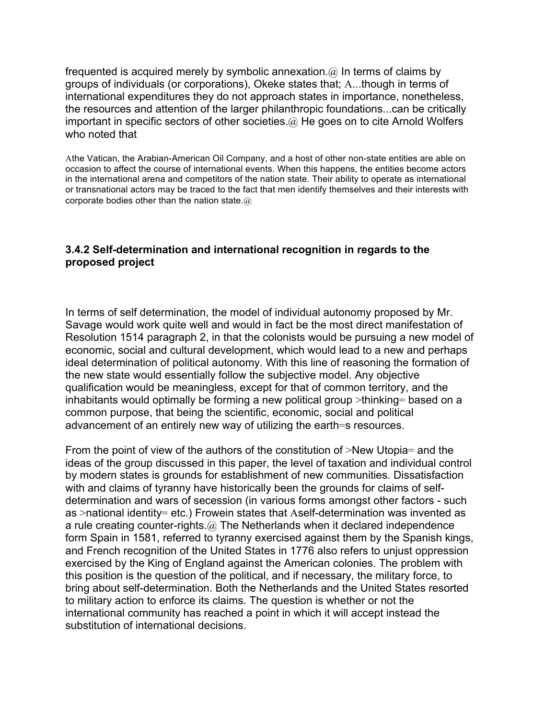frequented is acquired merely by symbolic annexation.  $\omega$  In terms of claims by groups of individuals (or corporations), Okeke states that; A...though in terms of international expenditures they do not approach states in importance, nonetheless, the resources and attention of the larger philanthropic foundations...can be critically important in specific sectors of other societies. $\omega$  He goes on to cite Arnold Wolfers who noted that

Athe Vatican, the Arabian-American Oil Company, and a host of other non-state entities are able on occasion to affect the course of international events. When this happens, the entities become actors in the international arena and competitors of the nation state. Their ability to operate as international or transnational actors may be traced to the fact that men identify themselves and their interests with corporate bodies other than the nation state. $@$ 

## **3.4.2 Self-determination and international recognition in regards to the proposed project**

In terms of self determination, the model of individual autonomy proposed by Mr. Savage would work quite well and would in fact be the most direct manifestation of Resolution 1514 paragraph 2, in that the colonists would be pursuing a new model of economic, social and cultural development, which would lead to a new and perhaps ideal determination of political autonomy. With this line of reasoning the formation of the new state would essentially follow the subjective model. Any objective qualification would be meaningless, except for that of common territory, and the inhabitants would optimally be forming a new political group >thinking= based on a common purpose, that being the scientific, economic, social and political advancement of an entirely new way of utilizing the earth=s resources.

From the point of view of the authors of the constitution of >New Utopia= and the ideas of the group discussed in this paper, the level of taxation and individual control by modern states is grounds for establishment of new communities. Dissatisfaction with and claims of tyranny have historically been the grounds for claims of selfdetermination and wars of secession (in various forms amongst other factors - such as >national identity= etc.) Frowein states that Aself-determination was invented as a rule creating counter-rights.@ The Netherlands when it declared independence form Spain in 1581, referred to tyranny exercised against them by the Spanish kings, and French recognition of the United States in 1776 also refers to unjust oppression exercised by the King of England against the American colonies. The problem with this position is the question of the political, and if necessary, the military force, to bring about self-determination. Both the Netherlands and the United States resorted to military action to enforce its claims. The question is whether or not the international community has reached a point in which it will accept instead the substitution of international decisions.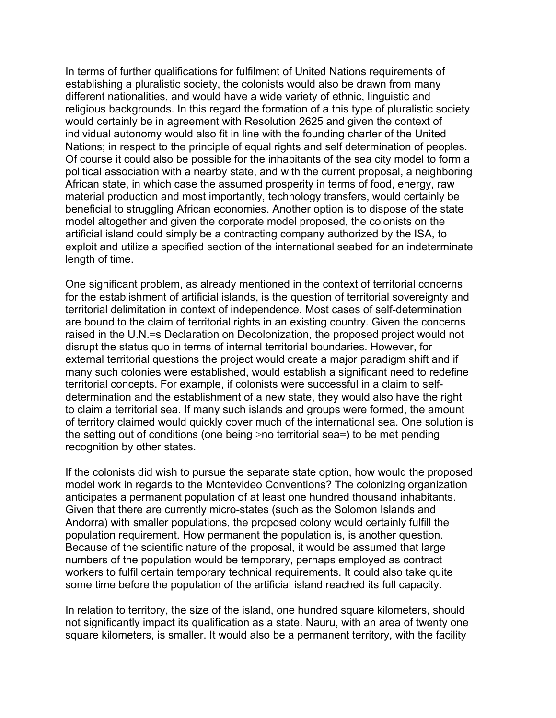In terms of further qualifications for fulfilment of United Nations requirements of establishing a pluralistic society, the colonists would also be drawn from many different nationalities, and would have a wide variety of ethnic, linguistic and religious backgrounds. In this regard the formation of a this type of pluralistic society would certainly be in agreement with Resolution 2625 and given the context of individual autonomy would also fit in line with the founding charter of the United Nations; in respect to the principle of equal rights and self determination of peoples. Of course it could also be possible for the inhabitants of the sea city model to form a political association with a nearby state, and with the current proposal, a neighboring African state, in which case the assumed prosperity in terms of food, energy, raw material production and most importantly, technology transfers, would certainly be beneficial to struggling African economies. Another option is to dispose of the state model altogether and given the corporate model proposed, the colonists on the artificial island could simply be a contracting company authorized by the ISA, to exploit and utilize a specified section of the international seabed for an indeterminate length of time.

One significant problem, as already mentioned in the context of territorial concerns for the establishment of artificial islands, is the question of territorial sovereignty and territorial delimitation in context of independence. Most cases of self-determination are bound to the claim of territorial rights in an existing country. Given the concerns raised in the U.N.=s Declaration on Decolonization, the proposed project would not disrupt the status quo in terms of internal territorial boundaries. However, for external territorial questions the project would create a major paradigm shift and if many such colonies were established, would establish a significant need to redefine territorial concepts. For example, if colonists were successful in a claim to selfdetermination and the establishment of a new state, they would also have the right to claim a territorial sea. If many such islands and groups were formed, the amount of territory claimed would quickly cover much of the international sea. One solution is the setting out of conditions (one being >no territorial sea=) to be met pending recognition by other states.

If the colonists did wish to pursue the separate state option, how would the proposed model work in regards to the Montevideo Conventions? The colonizing organization anticipates a permanent population of at least one hundred thousand inhabitants. Given that there are currently micro-states (such as the Solomon Islands and Andorra) with smaller populations, the proposed colony would certainly fulfill the population requirement. How permanent the population is, is another question. Because of the scientific nature of the proposal, it would be assumed that large numbers of the population would be temporary, perhaps employed as contract workers to fulfil certain temporary technical requirements. It could also take quite some time before the population of the artificial island reached its full capacity.

In relation to territory, the size of the island, one hundred square kilometers, should not significantly impact its qualification as a state. Nauru, with an area of twenty one square kilometers, is smaller. It would also be a permanent territory, with the facility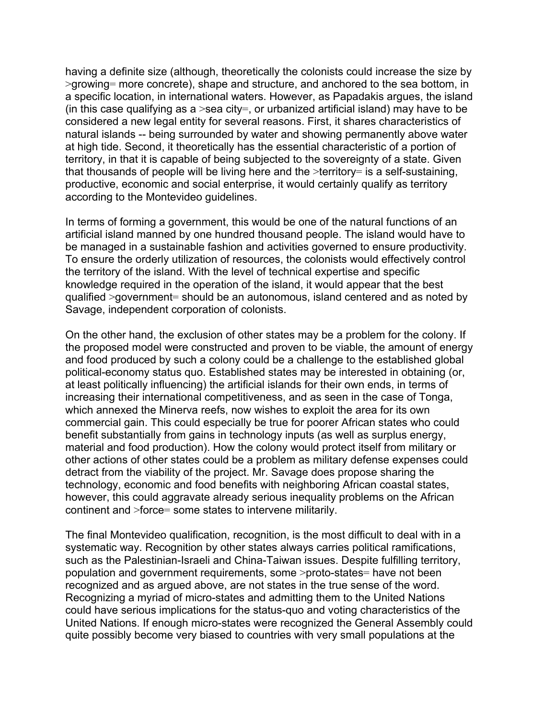having a definite size (although, theoretically the colonists could increase the size by >growing= more concrete), shape and structure, and anchored to the sea bottom, in a specific location, in international waters. However, as Papadakis argues, the island (in this case qualifying as a  $>$ sea city=, or urbanized artificial island) may have to be considered a new legal entity for several reasons. First, it shares characteristics of natural islands -- being surrounded by water and showing permanently above water at high tide. Second, it theoretically has the essential characteristic of a portion of territory, in that it is capable of being subjected to the sovereignty of a state. Given that thousands of people will be living here and the >territory= is a self-sustaining, productive, economic and social enterprise, it would certainly qualify as territory according to the Montevideo guidelines.

In terms of forming a government, this would be one of the natural functions of an artificial island manned by one hundred thousand people. The island would have to be managed in a sustainable fashion and activities governed to ensure productivity. To ensure the orderly utilization of resources, the colonists would effectively control the territory of the island. With the level of technical expertise and specific knowledge required in the operation of the island, it would appear that the best qualified >government= should be an autonomous, island centered and as noted by Savage, independent corporation of colonists.

On the other hand, the exclusion of other states may be a problem for the colony. If the proposed model were constructed and proven to be viable, the amount of energy and food produced by such a colony could be a challenge to the established global political-economy status quo. Established states may be interested in obtaining (or, at least politically influencing) the artificial islands for their own ends, in terms of increasing their international competitiveness, and as seen in the case of Tonga, which annexed the Minerva reefs, now wishes to exploit the area for its own commercial gain. This could especially be true for poorer African states who could benefit substantially from gains in technology inputs (as well as surplus energy, material and food production). How the colony would protect itself from military or other actions of other states could be a problem as military defense expenses could detract from the viability of the project. Mr. Savage does propose sharing the technology, economic and food benefits with neighboring African coastal states, however, this could aggravate already serious inequality problems on the African continent and >force= some states to intervene militarily.

The final Montevideo qualification, recognition, is the most difficult to deal with in a systematic way. Recognition by other states always carries political ramifications, such as the Palestinian-Israeli and China-Taiwan issues. Despite fulfilling territory, population and government requirements, some >proto-states= have not been recognized and as argued above, are not states in the true sense of the word. Recognizing a myriad of micro-states and admitting them to the United Nations could have serious implications for the status-quo and voting characteristics of the United Nations. If enough micro-states were recognized the General Assembly could quite possibly become very biased to countries with very small populations at the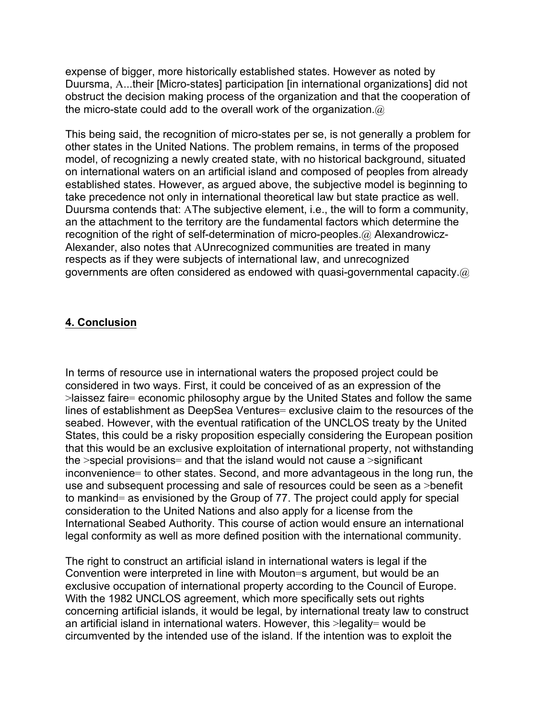expense of bigger, more historically established states. However as noted by Duursma, A...their [Micro-states] participation [in international organizations] did not obstruct the decision making process of the organization and that the cooperation of the micro-state could add to the overall work of the organization. $@$ 

This being said, the recognition of micro-states per se, is not generally a problem for other states in the United Nations. The problem remains, in terms of the proposed model, of recognizing a newly created state, with no historical background, situated on international waters on an artificial island and composed of peoples from already established states. However, as argued above, the subjective model is beginning to take precedence not only in international theoretical law but state practice as well. Duursma contends that: AThe subjective element, i.e., the will to form a community, an the attachment to the territory are the fundamental factors which determine the recognition of the right of self-determination of micro-peoples.@ Alexandrowicz-Alexander, also notes that AUnrecognized communities are treated in many respects as if they were subjects of international law, and unrecognized governments are often considered as endowed with quasi-governmental capacity. $@$ 

## **4. Conclusion**

In terms of resource use in international waters the proposed project could be considered in two ways. First, it could be conceived of as an expression of the >laissez faire= economic philosophy argue by the United States and follow the same lines of establishment as DeepSea Ventures= exclusive claim to the resources of the seabed. However, with the eventual ratification of the UNCLOS treaty by the United States, this could be a risky proposition especially considering the European position that this would be an exclusive exploitation of international property, not withstanding the  $\ge$ special provisions= and that the island would not cause a  $\ge$ significant inconvenience= to other states. Second, and more advantageous in the long run, the use and subsequent processing and sale of resources could be seen as a >benefit to mankind= as envisioned by the Group of 77. The project could apply for special consideration to the United Nations and also apply for a license from the International Seabed Authority. This course of action would ensure an international legal conformity as well as more defined position with the international community.

The right to construct an artificial island in international waters is legal if the Convention were interpreted in line with Mouton=s argument, but would be an exclusive occupation of international property according to the Council of Europe. With the 1982 UNCLOS agreement, which more specifically sets out rights concerning artificial islands, it would be legal, by international treaty law to construct an artificial island in international waters. However, this >legality= would be circumvented by the intended use of the island. If the intention was to exploit the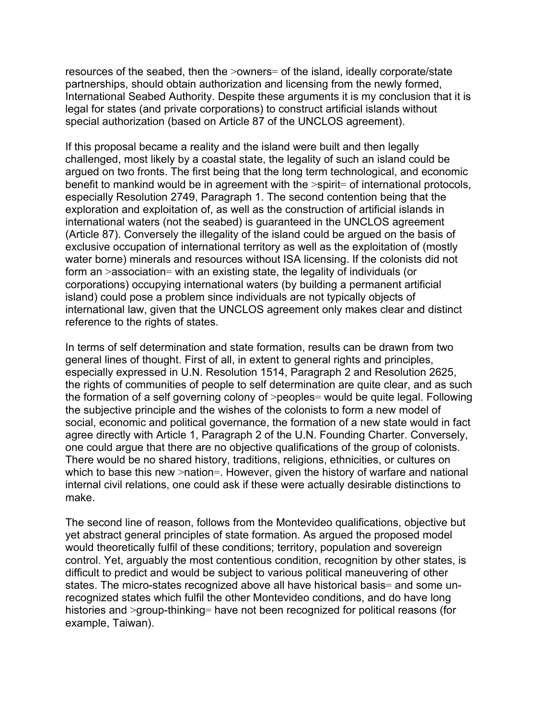resources of the seabed, then the >owners= of the island, ideally corporate/state partnerships, should obtain authorization and licensing from the newly formed, International Seabed Authority. Despite these arguments it is my conclusion that it is legal for states (and private corporations) to construct artificial islands without special authorization (based on Article 87 of the UNCLOS agreement).

If this proposal became a reality and the island were built and then legally challenged, most likely by a coastal state, the legality of such an island could be argued on two fronts. The first being that the long term technological, and economic benefit to mankind would be in agreement with the >spirit= of international protocols, especially Resolution 2749, Paragraph 1. The second contention being that the exploration and exploitation of, as well as the construction of artificial islands in international waters (not the seabed) is guaranteed in the UNCLOS agreement (Article 87). Conversely the illegality of the island could be argued on the basis of exclusive occupation of international territory as well as the exploitation of (mostly water borne) minerals and resources without ISA licensing. If the colonists did not form an >association= with an existing state, the legality of individuals (or corporations) occupying international waters (by building a permanent artificial island) could pose a problem since individuals are not typically objects of international law, given that the UNCLOS agreement only makes clear and distinct reference to the rights of states.

In terms of self determination and state formation, results can be drawn from two general lines of thought. First of all, in extent to general rights and principles, especially expressed in U.N. Resolution 1514, Paragraph 2 and Resolution 2625, the rights of communities of people to self determination are quite clear, and as such the formation of a self governing colony of >peoples= would be quite legal. Following the subjective principle and the wishes of the colonists to form a new model of social, economic and political governance, the formation of a new state would in fact agree directly with Article 1, Paragraph 2 of the U.N. Founding Charter. Conversely, one could argue that there are no objective qualifications of the group of colonists. There would be no shared history, traditions, religions, ethnicities, or cultures on which to base this new >nation=. However, given the history of warfare and national internal civil relations, one could ask if these were actually desirable distinctions to make.

The second line of reason, follows from the Montevideo qualifications, objective but yet abstract general principles of state formation. As argued the proposed model would theoretically fulfil of these conditions; territory, population and sovereign control. Yet, arguably the most contentious condition, recognition by other states, is difficult to predict and would be subject to various political maneuvering of other states. The micro-states recognized above all have historical basis= and some unrecognized states which fulfil the other Montevideo conditions, and do have long histories and >group-thinking= have not been recognized for political reasons (for example, Taiwan).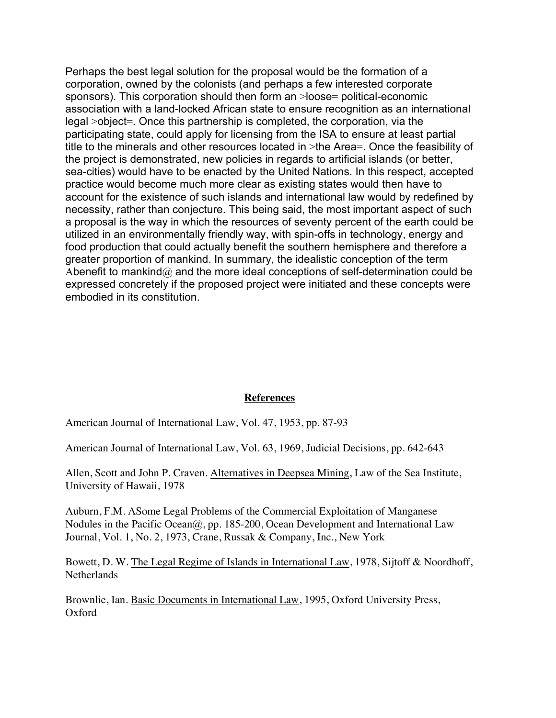Perhaps the best legal solution for the proposal would be the formation of a corporation, owned by the colonists (and perhaps a few interested corporate sponsors). This corporation should then form an >loose= political-economic association with a land-locked African state to ensure recognition as an international legal >object=. Once this partnership is completed, the corporation, via the participating state, could apply for licensing from the ISA to ensure at least partial title to the minerals and other resources located in >the Area=. Once the feasibility of the project is demonstrated, new policies in regards to artificial islands (or better, sea-cities) would have to be enacted by the United Nations. In this respect, accepted practice would become much more clear as existing states would then have to account for the existence of such islands and international law would by redefined by necessity, rather than conjecture. This being said, the most important aspect of such a proposal is the way in which the resources of seventy percent of the earth could be utilized in an environmentally friendly way, with spin-offs in technology, energy and food production that could actually benefit the southern hemisphere and therefore a greater proportion of mankind. In summary, the idealistic conception of the term Abenefit to mankind@ and the more ideal conceptions of self-determination could be expressed concretely if the proposed project were initiated and these concepts were embodied in its constitution.

#### **References**

American Journal of International Law, Vol. 47, 1953, pp. 87-93

American Journal of International Law, Vol. 63, 1969, Judicial Decisions, pp. 642-643

Allen, Scott and John P. Craven. Alternatives in Deepsea Mining, Law of the Sea Institute, University of Hawaii, 1978

Auburn, F.M. ASome Legal Problems of the Commercial Exploitation of Manganese Nodules in the Pacific Ocean@, pp. 185-200, Ocean Development and International Law Journal, Vol. 1, No. 2, 1973, Crane, Russak & Company, Inc., New York

Bowett, D. W. The Legal Regime of Islands in International Law, 1978, Sijtoff & Noordhoff, **Netherlands** 

Brownlie, Ian. Basic Documents in International Law, 1995, Oxford University Press, Oxford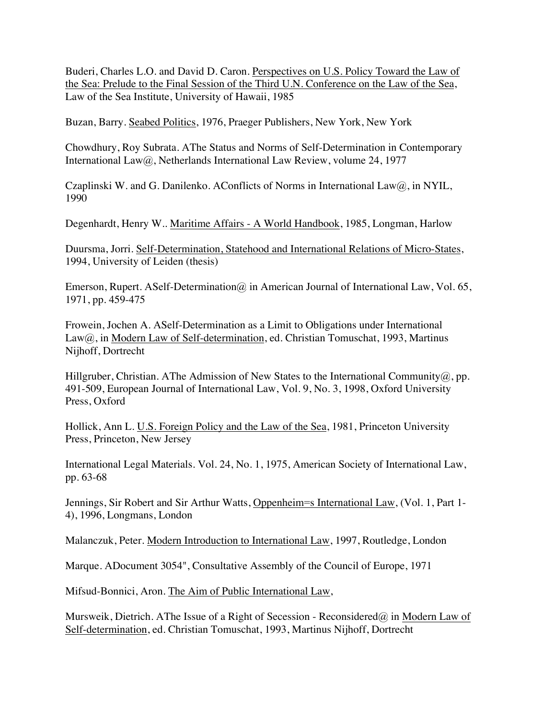Buderi, Charles L.O. and David D. Caron. Perspectives on U.S. Policy Toward the Law of the Sea: Prelude to the Final Session of the Third U.N. Conference on the Law of the Sea, Law of the Sea Institute, University of Hawaii, 1985

Buzan, Barry. Seabed Politics, 1976, Praeger Publishers, New York, New York

Chowdhury, Roy Subrata. AThe Status and Norms of Self-Determination in Contemporary International Law@, Netherlands International Law Review, volume 24, 1977

Czaplinski W. and G. Danilenko. AConflicts of Norms in International Law $(\hat{\omega})$ , in NYIL, 1990

Degenhardt, Henry W.. Maritime Affairs - A World Handbook, 1985, Longman, Harlow

Duursma, Jorri. Self-Determination, Statehood and International Relations of Micro-States, 1994, University of Leiden (thesis)

Emerson, Rupert. ASelf-Determination@ in American Journal of International Law, Vol. 65, 1971, pp. 459-475

Frowein, Jochen A. ASelf-Determination as a Limit to Obligations under International Law@, in Modern Law of Self-determination, ed. Christian Tomuschat, 1993, Martinus Nijhoff, Dortrecht

Hillgruber, Christian. AThe Admission of New States to the International Community  $(a)$ , pp. 491-509, European Journal of International Law, Vol. 9, No. 3, 1998, Oxford University Press, Oxford

Hollick, Ann L. U.S. Foreign Policy and the Law of the Sea, 1981, Princeton University Press, Princeton, New Jersey

International Legal Materials. Vol. 24, No. 1, 1975, American Society of International Law, pp. 63-68

Jennings, Sir Robert and Sir Arthur Watts, Oppenheim=s International Law, (Vol. 1, Part 1- 4), 1996, Longmans, London

Malanczuk, Peter. Modern Introduction to International Law, 1997, Routledge, London

Marque. ADocument 3054", Consultative Assembly of the Council of Europe, 1971

Mifsud-Bonnici, Aron. The Aim of Public International Law,

Mursweik, Dietrich. AThe Issue of a Right of Secession - Reconsidered@ in Modern Law of Self-determination, ed. Christian Tomuschat, 1993, Martinus Nijhoff, Dortrecht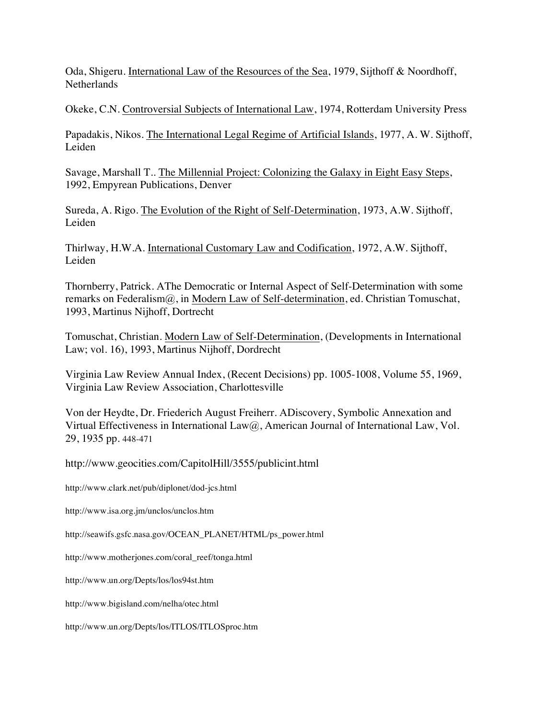Oda, Shigeru. International Law of the Resources of the Sea, 1979, Sijthoff & Noordhoff, **Netherlands** 

Okeke, C.N. Controversial Subjects of International Law, 1974, Rotterdam University Press

Papadakis, Nikos. The International Legal Regime of Artificial Islands, 1977, A. W. Sijthoff, Leiden

Savage, Marshall T.. The Millennial Project: Colonizing the Galaxy in Eight Easy Steps, 1992, Empyrean Publications, Denver

Sureda, A. Rigo. The Evolution of the Right of Self-Determination, 1973, A.W. Sijthoff, Leiden

Thirlway, H.W.A. International Customary Law and Codification, 1972, A.W. Sijthoff, Leiden

Thornberry, Patrick. AThe Democratic or Internal Aspect of Self-Determination with some remarks on Federalism@, in Modern Law of Self-determination, ed. Christian Tomuschat, 1993, Martinus Nijhoff, Dortrecht

Tomuschat, Christian. Modern Law of Self-Determination, (Developments in International Law; vol. 16), 1993, Martinus Nijhoff, Dordrecht

Virginia Law Review Annual Index, (Recent Decisions) pp. 1005-1008, Volume 55, 1969, Virginia Law Review Association, Charlottesville

Von der Heydte, Dr. Friederich August Freiherr. ADiscovery, Symbolic Annexation and Virtual Effectiveness in International Law@, American Journal of International Law, Vol. 29, 1935 pp. 448-471

http://www.geocities.com/CapitolHill/3555/publicint.html

http://www.clark.net/pub/diplonet/dod-jcs.html

http://www.isa.org.jm/unclos/unclos.htm

http://seawifs.gsfc.nasa.gov/OCEAN\_PLANET/HTML/ps\_power.html

http://www.motherjones.com/coral\_reef/tonga.html

http://www.un.org/Depts/los/los94st.htm

http://www.bigisland.com/nelha/otec.html

http://www.un.org/Depts/los/ITLOS/ITLOSproc.htm